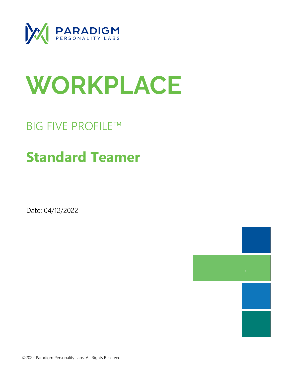

# WORKPLACE

## BIG FIVE PROFILE™

## **Standard Teamer**

Date: 04/12/2022

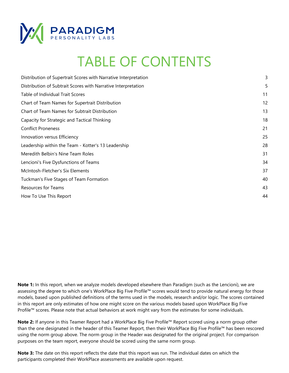

## TABLE OF CONTENTS

| Distribution of Supertrait Scores with Narrative Interpretation | 3  |
|-----------------------------------------------------------------|----|
| Distribution of Subtrait Scores with Narrative Interpretation   | 5  |
| Table of Individual Trait Scores                                | 11 |
| Chart of Team Names for Supertrait Distribution                 | 12 |
| Chart of Team Names for Subtrait Distribution                   | 13 |
| Capacity for Strategic and Tactical Thinking                    | 18 |
| <b>Conflict Proneness</b>                                       | 21 |
| Innovation versus Efficiency                                    | 25 |
| Leadership within the Team - Kotter's 13 Leadership             | 28 |
| Meredith Belbin's Nine Team Roles                               | 31 |
| Lencioni's Five Dysfunctions of Teams                           | 34 |
| McIntosh-Fletcher's Six Elements                                | 37 |
| Tuckman's Five Stages of Team Formation                         | 40 |
| <b>Resources for Teams</b>                                      | 43 |
| How To Use This Report                                          | 44 |

**Note 1:** In this report, when we analyze models developed elsewhere than Paradigm (such as the Lencioni), we are assessing the degree to which one's WorkPlace Big Five Profile™ scores would tend to provide natural energy for those models, based upon published definitions of the terms used in the models, research and/or logic. The scores contained in this report are only estimates of how one might score on the various models based upon WorkPlace Big Five Profile™ scores. Please note that actual behaviors at work might vary from the estimates for some individuals.

**Note 2:** If anyone in this Teamer Report had a WorkPlace Big Five Profile™ Report scored using a norm group other than the one designated in the header of this Teamer Report, then their WorkPlace Big Five Profile™ has been rescored using the norm group above. The norm group in the Header was designated for the original project. For comparison purposes on the team report, everyone should be scored using the same norm group.

**Note 3:** The date on this report reflects the date that this report was run. The individual dates on which the participants completed their WorkPlace assessments are available upon request.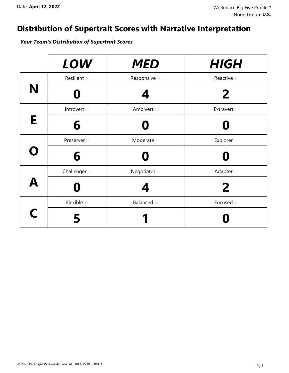## **Distribution of Supertrait Scores with Narrative Interpretation**

*Your Team's Distribution of Supertrait Scores*

|             | <b>LOW</b>     | <b>MED</b>     | <b>HIGH</b>   |
|-------------|----------------|----------------|---------------|
|             | Resilient =    | Responsive $=$ | Reactive $=$  |
| N           |                | 4              | $\mathbf{2}$  |
|             | $Introvert =$  | Ambivert $=$   | Extravert $=$ |
| E           | 6              | Ő              |               |
| $\mathbf O$ | Preserver =    | $Modern =$     | Explorer $=$  |
|             | 6              | $\bullet$      |               |
|             | Challenger $=$ | Negotiator $=$ | Adapter $=$   |
| A           |                | 4              | 2             |
|             | $Flexible =$   | Balanced =     | $Focused =$   |
| C           |                |                |               |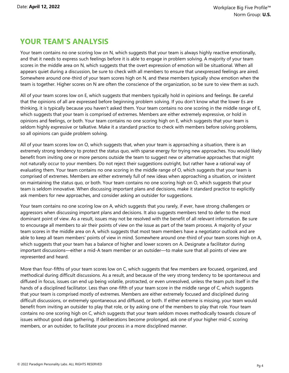Your team contains no one scoring low on N, which suggests that your team is always highly reactive emotionally, and that it needs to express such feelings before it is able to engage in problem solving. A majority of your team scores in the middle area on N, which suggests that the overt expression of emotion will be situational. When all appears quiet during a discussion, be sure to check with all members to ensure that unexpressed feelings are aired. Somewhere around one-third of your team scores high on N, and these members typically show emotion when the team is together. Higher scores on N are often the conscience of the organization, so be sure to view them as such.

All of your team scores low on E, which suggests that members typically hold in opinions and feelings. Be careful that the opinions of all are expressed before beginning problem solving. If you don't know what the lower Es are thinking, it is typically because you haven't asked them. Your team contains no one scoring in the middle range of E, which suggests that your team is comprised of extremes. Members are either extremely expressive, or hold in opinions and feelings, or both. Your team contains no one scoring high on E, which suggests that your team is seldom highly expressive or talkative. Make it a standard practice to check with members before solving problems, so all opinions can guide problem solving.

All of your team scores low on O, which suggests that, when your team is approaching a situation, there is an extremely strong tendency to protect the status quo, with sparse energy for trying new approaches. You would likely benefit from inviting one or more persons outside the team to suggest new or alternative approaches that might not naturally occur to your members. Do not reject their suggestions outright, but rather have a rational way of evaluating them. Your team contains no one scoring in the middle range of O, which suggests that your team is comprised of extremes. Members are either extremely full of new ideas when approaching a situation, or insistent on maintaining the status quo, or both. Your team contains no one scoring high on O, which suggests that your team is seldom innovative. When discussing important plans and decisions, make it standard practice to explicitly ask members for new approaches, and consider asking an outsider for suggestions.

Your team contains no one scoring low on A, which suggests that you rarely, if ever, have strong challengers or aggressors when discussing important plans and decisions. It also suggests members tend to defer to the most dominant point of view. As a result, issues may not be resolved with the benefit of all relevant information. Be sure to encourage all members to air their points of view on the issue as part of the team process. A majority of your team scores in the middle area on A, which suggests that most team members have a negotiator outlook and are able to keep all team members' points of view in mind. Somewhere around one-third of your team scores high on A, which suggests that your team has a balance of higher and lower scorers on A. Designate a facilitator during important discussions—either a mid-A team member or an outsider—to make sure that all points of view are represented and heard.

More than four-fifths of your team scores low on C, which suggests that few members are focused, organized, and methodical during difficult discussions. As a result, and because of the very strong tendency to be spontaneous and diffused in focus, issues can end up being volatile, protracted, or even unresolved, unless the team puts itself in the hands of a disciplined facilitator. Less than one-fifth of your team score in the middle range of C, which suggests that your team is comprised mostly of extremes. Members are either extremely focused and disciplined during difficult discussions, or extremely spontaneous and diffused, or both. If either extreme is missing, your team would benefit from inviting an outsider to play that role, or by asking one of the members to play that role. Your team contains no one scoring high on C, which suggests that your team seldom moves methodically towards closure of issues without good data gathering. If deliberations become prolonged, ask one of your higher mid-C scoring members, or an outsider, to facilitate your process in a more disciplined manner.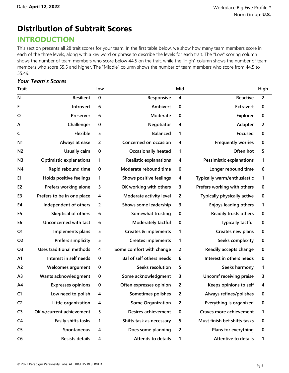## **Distribution of Subtrait Scores**

## **INTRODUCTION**

This section presents all 28 trait scores for your team. In the first table below, we show how many team members score in each of the three levels, along with a key word or phrase to describe the levels for each trait. The "Low" scoring column shows the number of team members who score below 44.5 on the trait, while the "High" column shows the number of team members who score 55.5 and higher. The "Middle" column shows the number of team members who score from 44.5 to 55.49.

#### *Your Team's Scores*

| <b>Trait</b>   |                                 | Low              |                                 | Mid              |                                    | High             |
|----------------|---------------------------------|------------------|---------------------------------|------------------|------------------------------------|------------------|
| $\mathsf{N}$   | Resilient                       | $\mathbf 0$      | Responsive                      | 4                | Reactive                           | $\overline{2}$   |
| Е              | Introvert                       | 6                | Ambivert                        | $\pmb{0}$        | Extravert                          | 0                |
| O              | Preserver                       | 6                | Moderate                        | 0                | Explorer                           | $\boldsymbol{0}$ |
| A              | Challenger                      | $\boldsymbol{0}$ | Negotiator                      | 4                | Adapter                            | $\overline{2}$   |
| $\mathsf{C}$   | Flexible                        | 5                | <b>Balanced</b>                 | 1                | Focused                            | $\bf{0}$         |
| N <sub>1</sub> | Always at ease                  | $\overline{2}$   | Concerned on occasion           | 4                | <b>Frequently worries</b>          | 0                |
| N <sub>2</sub> | Usually calm                    | $\bf{0}$         | <b>Occasionally heated</b>      | 1                | Often hot                          | 5                |
| N <sub>3</sub> | <b>Optimistic explanations</b>  | 1                | <b>Realistic explanations</b>   | 4                | <b>Pessimistic explanations</b>    | 1                |
| N4             | Rapid rebound time              | $\bf{0}$         | Moderate rebound time           | $\bf{0}$         | Longer rebound time                | 6                |
| E <sub>1</sub> | Holds positive feelings         | 1                | Shows positive feelings         | 4                | Typically warm/enthusiastic        | 1                |
| E <sub>2</sub> | Prefers working alone           | 3                | OK working with others          | 3                | Prefers working with others        | 0                |
| E3             | Prefers to be in one place      | 4                | Moderate activity level         | 2                | <b>Typically physically active</b> | 0                |
| E4             | Independent of others           | $\overline{2}$   | Shows some leadership           | 3                | <b>Enjoys leading others</b>       | 1                |
| E5             | Skeptical of others             | 6                | Somewhat trusting               | $\boldsymbol{0}$ | Readily trusts others              | 0                |
| E <sub>6</sub> | Unconcerned with tact           | 6                | Moderately tactful              | $\pmb{0}$        | <b>Typically tactful</b>           | $\bf{0}$         |
| O <sub>1</sub> | Implements plans                | 5                | <b>Creates &amp; implements</b> | 1                | Creates new plans                  | 0                |
| O <sub>2</sub> | <b>Prefers simplicity</b>       | 5                | <b>Creates implements</b>       | 1                | Seeks complexity                   | 0                |
| O <sub>3</sub> | <b>Uses traditional methods</b> | 4                | Some comfort with change        | 2                | Readily accepts change             | 0                |
| A <sub>1</sub> | Interest in self needs          | $\boldsymbol{0}$ | Bal of self others needs        | 6                | Interest in others needs           | 0                |
| A <sub>2</sub> | <b>Welcomes argument</b>        | $\boldsymbol{0}$ | Seeks resolution                | 5                | Seeks harmony                      | 1                |
| A <sub>3</sub> | Wants acknowledgment            | $\bf{0}$         | Some acknowledgment             | 3                | Uncomf receiving praise            | 3                |
| A4             | <b>Expresses opinions</b>       | $\bf{0}$         | Often expresses opinion         | $\overline{2}$   | Keeps opinions to self             | 4                |
| C1             | Low need to polish              | 4                | Sometimes polishes              | 2                | Always refines/polishes            | 0                |
| C <sub>2</sub> | Little organization             | 4                | <b>Some Organization</b>        | 2                | Everything is organized            | 0                |
| C <sub>3</sub> | OK w/current achievement        | 5                | Desires achievement             | 0                | Craves more achievement            | 1                |
| C <sub>4</sub> | Easily shifts tasks             | 1                | Shifts task as necessary        | 5                | Must finish bef shifts tasks       | 0                |
| C <sub>5</sub> | Spontaneous                     | 4                | Does some planning              | 2                | Plans for everything               | $\boldsymbol{0}$ |
| C <sub>6</sub> | <b>Resists details</b>          | 4                | <b>Attends to details</b>       | 1                | <b>Attentive to details</b>        | 1                |
|                |                                 |                  |                                 |                  |                                    |                  |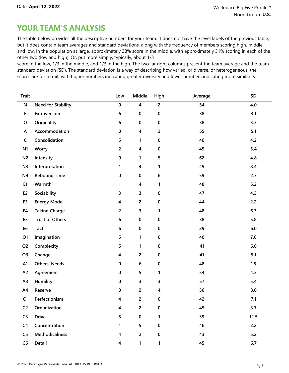The table below provides all the descriptive numbers for your team. It does not have the level labels of the previous table, but it does contain team averages and standard deviations, along with the frequency of members scoring high, middle, and low. In the population at large, approximately 38% score in the middle, with approximately 31% scoring in each of the other two (low and high). Or, put more simply, typically, about 1/3

score in the low, 1/3 in the middle, and 1/3 in the high. The two far right columns present the team average and the team standard deviation (SD). The standard deviation is a way of describing how varied, or diverse, or heterogeneous, the scores are for a trait, with higher numbers indicating greater diversity and lower numbers indicating more similarity.

| <b>Trait</b>   |                           | Low            | Middle                  | High                    | Average | SD      |
|----------------|---------------------------|----------------|-------------------------|-------------------------|---------|---------|
| ${\sf N}$      | <b>Need for Stability</b> | $\pmb{0}$      | $\overline{\mathbf{4}}$ | $\overline{2}$          | 54      | 4.0     |
| E              | Extraversion              | $\bf 6$        | $\pmb{0}$               | $\pmb{0}$               | 38      | 3.1     |
| $\mathsf O$    | Originality               | 6              | $\bf{0}$                | $\pmb{0}$               | 38      | 3.3     |
| A              | Accommodation             | $\pmb{0}$      | $\overline{\mathbf{4}}$ | $\overline{2}$          | 55      | 5.1     |
| $\mathsf{C}$   | Consolidation             | 5              | 1                       | $\pmb{0}$               | 40      | 4.2     |
| N <sub>1</sub> | Worry                     | $\overline{2}$ | 4                       | $\pmb{0}$               | 45      | 5.4     |
| N <sub>2</sub> | Intensity                 | $\pmb{0}$      | $\mathbf{1}$            | $\overline{\mathbf{5}}$ | 62      | 4.8     |
| N <sub>3</sub> | Interpretation            | 1              | $\overline{\mathbf{4}}$ | 1                       | 49      | 8.4     |
| N <sub>4</sub> | <b>Rebound Time</b>       | $\pmb{0}$      | 0                       | $\bf 6$                 | 59      | 2.7     |
| E1             | Warmth                    | 1              | $\overline{\mathbf{4}}$ | 1                       | 48      | $5.2$   |
| E <sub>2</sub> | Sociability               | 3              | 3                       | $\pmb{0}$               | 47      | 4.3     |
| E <sub>3</sub> | <b>Energy Mode</b>        | 4              | $\overline{2}$          | $\pmb{0}$               | 44      | 2.2     |
| E4             | <b>Taking Charge</b>      | $\overline{2}$ | 3                       | 1                       | 48      | 6.3     |
| E <sub>5</sub> | <b>Trust of Others</b>    | $\bf 6$        | $\pmb{0}$               | $\pmb{0}$               | 38      | 5.8     |
| E <sub>6</sub> | <b>Tact</b>               | $\bf 6$        | 0                       | $\pmb{0}$               | 29      | $6.0$   |
| O1             | Imagination               | 5              | $\mathbf{1}$            | $\pmb{0}$               | 40      | 7.6     |
| O <sub>2</sub> | Complexity                | 5              | 1                       | $\pmb{0}$               | 41      | $6.0$   |
| O <sub>3</sub> | Change                    | 4              | $\overline{2}$          | $\pmb{0}$               | 41      | 5.1     |
| A1             | <b>Others' Needs</b>      | $\bf{0}$       | $\bf 6$                 | $\pmb{0}$               | 48      | 1.5     |
| A <sub>2</sub> | Agreement                 | $\pmb{0}$      | 5                       | $\mathbf{1}$            | 54      | 4.3     |
| A3             | Humility                  | $\pmb{0}$      | 3                       | 3                       | 57      | 5.4     |
| A4             | Reserve                   | $\pmb{0}$      | $\overline{2}$          | 4                       | 56      | 8.0     |
| C1             | Perfectionism             | 4              | $\overline{2}$          | $\pmb{0}$               | 42      | 7.1     |
| C <sub>2</sub> | Organization              | 4              | $\overline{2}$          | $\pmb{0}$               | 45      | 3.7     |
| C <sub>3</sub> | <b>Drive</b>              | 5              | $\pmb{0}$               | $\mathbf{1}$            | 39      | 12.5    |
| C <sub>4</sub> | Concentration             | $\mathbf{1}$   | 5                       | $\pmb{0}$               | 46      | 2.2     |
| C <sub>5</sub> | Methodicalness            | 4              | $\overline{2}$          | $\pmb{0}$               | 43      | 5.2     |
| C6             | Detail                    | 4              | $\mathbf{1}$            | $\mathbf{1}$            | 45      | $6.7\,$ |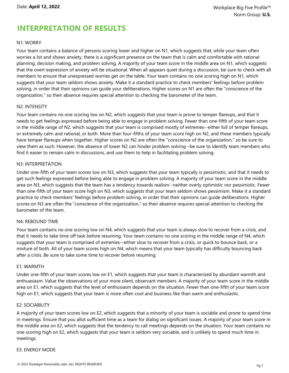## **INTERPRETATION OF RESULTS**

#### N1: WORRY

Your team contains a balance of persons scoring lower and higher on N1, which suggests that, while your team often worries a lot and shows anxiety, there is a significant presence on the team that is calm and comfortable with rational planning, decision making, and problem solving. A majority of your team score in the middle area on N1, which suggests that the overt expression of anxiety will be situational. When all appears quiet during a discussion, be sure to check with all members to ensure that unexpressed worries get on the table. Your team contains no one scoring high on N1, which suggests that your team seldom shows anxiety. Make it a standard practice to check members' feelings before problem solving, in order that their opinions can guide your deliberations. Higher scores on N1 are often the "conscience of the organization," so their absence requires special attention to checking the barometer of the team.

#### N2: INTENSITY

Your team contains no one scoring low on N2, which suggests that your team is prone to temper flareups, and that it needs to get feelings expressed before being able to engage in problem solving. Fewer than one-fifth of your team score in the middle range of N2, which suggests that your team is comprised mostly of extremes--either full of temper flareups, or extremely calm and rational, or both. More than four-fifths of your team score high on N2, and these members typically have temper flareups when together. Higher scores on N2 are often the "conscience of the organization," so be sure to view them as such. However, the absence of lower N2 can hinder problem solving--be sure to identify team members who find it easier to remain calm in discussions, and use them to help in facilitating problem solving.

#### N3: INTERPRETATION

Under one-fifth of your team scores low on N3, which suggests that your team typically is pessimistic, and that it needs to get such feelings expressed before being able to engage in problem solving. A majority of your team score in the middle area on N3, which suggests that the team has a tendency towards realism--neither overly optimistic nor pessimistic. Fewer than one-fifth of your team score high on N3, which suggests that your team seldom shows pessimism. Make it a standard practice to check members' feelings before problem solving, in order that their opinions can guide deliberations. Higher scores on N3 are often the "conscience of the organization," so their absence requires special attention to checking the barometer of the team.

#### N4: REBOUND TIME

Your team contains no one scoring low on N4, which suggests that your team is always slow to recover from a crisis, and that it needs to take time off task before resuming. Your team contains no one scoring in the middle range of N4, which suggests that your team is comprised of extremes--either slow to recover from a crisis, or quick to bounce back, or a mixture of both. All of your team scores high on N4, which means that your team typically has difficulty bouncing back after a crisis. Be sure to take some time to recover before resuming.

#### E1: WARMTH

Under one-fifth of your team scores low on E1, which suggests that your team is characterized by abundant warmth and enthuasiasm. Value the observations of your more silent, observant members. A majority of your team score in the middle area on E1, which suggests that the level of enthusiasm depends on the situation. Fewer than one-fifth of your team score high on E1, which suggests that your team is more often cool and business like than warm and enthusiastic.

#### E2: SOCIABILITY

A majority of your team scores low on E2, which suggests that a minority of your team is sociable and prone to spend time in meetings. Ensure that you allot sufficient time as a team for dialog on significant issues. A majority of your team score in the middle area on E2, which suggests that the tendency to call meetings depends on the situation. Your team contains no one scoring high on E2, which suggests that your team is seldom very sociable, and is unlikely to spend much time in meetings.

#### E3: ENERGY MODE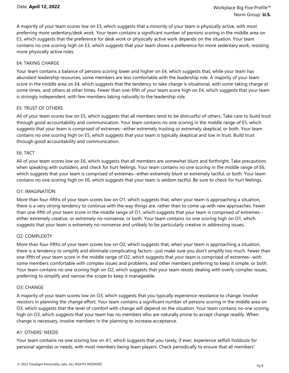A majority of your team scores low on E3, which suggests that a minority of your team is physically active, with most preferring more sedentary/desk work. Your team contains a significant number of persons scoring in the middle area on E3, which suggests that the preference for desk work or physically active work depends on the situation. Your team contains no one scoring high on E3, which suggests that your team shows a preference for more sedentary work, resisting more physically active roles.

#### E4: TAKING CHARGE

Your team contains a balance of persons scoring lower and higher on E4, which suggests that, while your team has abundant leadership resources, some members are less comfortable with the leadership role. A majority of your team score in the middle area on E4, which suggests that the tendency to take charge is situational, with some taking charge at some times, and others at other times. Fewer than one-fifth of your team score high on E4, which suggests that your team is strongly independent, with few members taking naturally to the leadership role.

#### E5: TRUST OF OTHERS

All of your team scores low on E5, which suggests that all members tend to be distrustful of others. Take care to build trust through good accountability and communication. Your team contains no one scoring in the middle range of E5, which suggests that your team is comprised of extremes--either extremely trusting or extremely skeptical, or both. Your team contains no one scoring high on E5, which suggests that your team is typically skeptical and low in trust. Build trust through good accountability and communication.

#### E6: TACT

All of your team scores low on E6, which suggests that all members are somewhat blunt and forthright. Take precautions when speaking with outsiders, and check for hurt feelings. Your team contains no one scoring in the middle range of E6, which suggests that your team is comprised of extremes--either extremely blunt or extremely tactful, or both. Your team contains no one scoring high on E6, which suggests that your team is seldom tactful. Be sure to check for hurt feelings.

#### O1: IMAGINATION

More than four-fifths of your team scores low on O1, which suggests that, when your team is approaching a situation, there is a very strong tendency to continue with the way things are, rather than to come up with new approaches. Fewer than one-fifth of your team score in the middle range of O1, which suggests that your team is comprised of extremes- either extremely creative, or extremely no-nonsense, or both. Your team contains no one scoring high on O1, which suggests that your team is extremely no-nonsense and unlikely to be particularly creative in addressing issues.

#### O2: COMPLEXITY

More than four-fifths of your team scores low on O2, which suggests that, when your team is approaching a situation, there is a tendency to simplify and eliminate complicating factors--just make sure you don't simplify too much. Fewer than one-fifth of your team score in the middle range of O2, which suggests that your team is comprised of extremes--with some members comfortable with complex issues and problems, and other members preferring to keep it simple, or both. Your team contains no one scoring high on O2, which suggests that your team resists dealing with overly complex issues, preferring to simplify and narrow the scope to keep it manageable.

#### O3: CHANGE

A majority of your team scores low on O3, which suggests that you typically experience resistance to change. Involve resistors in planning the change effort. Your team contains a significant number of persons scoring in the middle area on O3, which suggests that the level of comfort with change will depend on the situation. Your team contains no one scoring high on O3, which suggests that your team has no members who are naturally prone to accept change readily. When change is necessary, involve members in the planning to increase acceptance.

#### A1: OTHERS' NEEDS

Your team contains no one scoring low on A1, which suggests that you rarely, if ever, experience selfish holdouts for personal agendas or needs, with most members being team players. Check periodically to ensure that all members'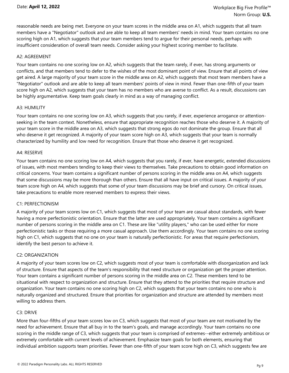reasonable needs are being met. Everyone on your team scores in the middle area on A1, which suggests that all team members have a "Negotiator" outlook and are able to keep all team members' needs in mind. Your team contains no one scoring high on A1, which suggests that your team members tend to argue for their personal needs, perhaps with insufficient consideration of overall team needs. Consider asking your highest scoring member to facilitate.

#### A2: AGREEMENT

Your team contains no one scoring low on A2, which suggests that the team rarely, if ever, has strong arguments or conflicts, and that members tend to defer to the wishes of the most dominant point of view. Ensure that all points of view get aired. A large majority of your team score in the middle area on A2, which suggests that most team members have a "Negotiator" outlook and are able to keep all team members' points of view in mind. Fewer than one-fifth of your team score high on A2, which suggests that your team has no members who are averse to conflict. As a result, discussions can be highly argumentative. Keep team goals clearly in mind as a way of managing conflict.

#### A3: HUMILITY

Your team contains no one scoring low on A3, which suggests that you rarely, if ever, experience arrogance or attentionseeking in the team context. Nonetheless, ensure that appropriate recognition reaches those who deserve it. A majority of your team score in the middle area on A3, which suggests that strong egos do not dominate the group. Ensure that all who deserve it get recognized. A majority of your team score high on A3, which suggests that your team is normally characterized by humility and low need for recognition. Ensure that those who deserve it get recognized.

#### A4: RESERVE

Your team contains no one scoring low on A4, which suggests that you rarely, if ever, have energetic, extended discussions of issues, with most members tending to keep their views to themselves. Take precautions to obtain good information on critical concerns. Your team contains a significant number of persons scoring in the middle area on A4, which suggests that some discussions may be more thorough than others. Ensure that all have input on critical issues. A majority of your team score high on A4, which suggests that some of your team discussions may be brief and cursory. On critical issues, take precautions to enable more reserved members to express their views.

#### C1: PERFECTIONISM

A majority of your team scores low on C1, which suggests that most of your team are casual about standards, with fewer having a more perfectionistic orientation. Ensure that the latter are used appropriately. Your team contains a significant number of persons scoring in the middle area on C1. These are like "utility players," who can be used either for more perfectionistic tasks or those requiring a more casual approach. Use them accordingly. Your team contains no one scoring high on C1, which suggests that no one on your team is naturally perfectionistic. For areas that require perfectionism, identify the best person to achieve it.

#### C2: ORGANIZATION

A majority of your team scores low on C2, which suggests most of your team is comfortable with disorganization and lack of structure. Ensure that aspects of the team's responsibility that need structure or organization get the proper attention. Your team contains a significant number of persons scoring in the middle area on C2. These members tend to be situational with respect to organization and structure. Ensure that they attend to the priorities that require structure and organization. Your team contains no one scoring high on C2, which suggests that your team contains no one who is naturally organized and structured. Ensure that priorities for organization and structure are attended by members most willing to address them.

#### C3: DRIVE

More than four-fifths of your team scores low on C3, which suggests that most of your team are not motivated by the need for achievement. Ensure that all buy in to the team's goals, and manage accordingly. Your team contains no one scoring in the middle range of C3, which suggests that your team is comprised of extremes--either extremely ambitious or extremely comfortable with current levels of achievement. Emphasize team goals for both elements, ensuring that individual ambition supports team priorities. Fewer than one-fifth of your team score high on C3, which suggests few are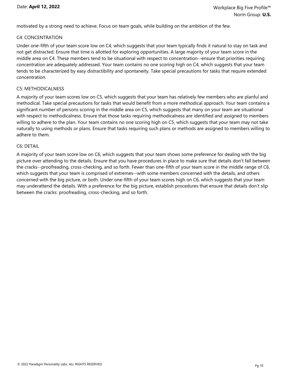motivated by a strong need to achieve. Focus on team goals, while building on the ambition of the few.

#### C4: CONCENTRATION

Under one-fifth of your team score low on C4, which suggests that your team typically finds it natural to stay on task and not get distracted. Ensure that time is allotted for exploring opportunities. A large majority of your team score in the middle area on C4. These members tend to be situational with respect to concentration--ensure that priorities requiring concentration are adequately addressed. Your team contains no one scoring high on C4, which suggests that your team tends to be characterized by easy distractibility and spontaneity. Take special precautions for tasks that require extended concentration.

#### C5: METHODICALNESS

A majority of your team scores low on C5, which suggests that your team has relatively few members who are planful and methodical. Take special precautions for tasks that would benefit from a more methodical approach. Your team contains a significant number of persons scoring in the middle area on C5, which suggests that many on your team are situational with respect to methodicalness. Ensure that those tasks requiring methodicalness are identified and assigned to members willing to adhere to the plan. Your team contains no one scoring high on C5, which suggests that your team may not take naturally to using methods or plans. Ensure that tasks requiring such plans or methods are assigned to members willing to adhere to them.

#### C6: DETAIL

A majority of your team score low on C6, which suggests that your team shows some preference for dealing with the big picture over attending to the details. Ensure that you have procedures in place to make sure that details don't fall between the cracks--proofreading, cross-checking, and so forth. Fewer than one-fifth of your team score in the middle range of C6, which suggests that your team is comprised of extremes--with some members concerned with the details, and others concerned with the big picture, or both. Under one-fifth of your team scores high on C6, which suggests that your team may underattend the details. With a preference for the big picture, establish procedures that ensure that details don't slip between the cracks: proofreading, cross-checking, and so forth.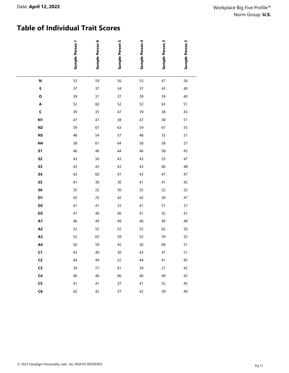## **Table of Individual Trait Scores**

|                    | Sample Person 1 | Sample Person 6 | Sample Person 5 | Sample Person 4 | Sample Person 3 | Sample Person 2 |
|--------------------|-----------------|-----------------|-----------------|-----------------|-----------------|-----------------|
| $\mathsf{N}$       | 53              | 59              | 56              | 53              | 47              | 54              |
| E                  | 37              | 37              | 34              | 37              | 43              | 40              |
| $\mathbf 0$        | 39              | 31              | 37              | 39              | 39              | 40              |
| $\pmb{\mathsf{A}}$ | 52              | 60              | 52              | 52              | 63              | 51              |
| $\mathsf{C}$       | 39              | 35              | 47              | 39              | 38              | 43              |
| N <sub>1</sub>     | 47              | 47              | 38              | 47              | 38              | 51              |
| N <sub>2</sub>     | 59              | 67              | 63              | 59              | 67              | 55              |
| N <sub>3</sub>     | 48              | 54              | 57              | 48              | 33              | 51              |
| N4                 | 58              | 61              | 64              | 58              | 58              | 57              |
| E1                 | 46              | 46              | 44              | 46              | 58              | 45              |
| E <sub>2</sub>     | 43              | 50              | 43              | 43              | 53              | 47              |
| E3                 | 43              | 43              | 43              | 43              | $46\,$          | 48              |
| E4                 | 43              | 60              | 47              | 43              | 47              | 47              |
| E5                 | 41              | $30\,$          | $30\,$          | 41              | 41              | 42              |
| E6                 | 35              | 22              | $30\,$          | 35              | 22              | 32              |
| 01                 | 42              | 25              | 42              | 42              | 39              | 47              |
| 02                 | 41              | 41              | 33              | 41              | 51              | 37              |
| 03                 | 41              | 46              | 46              | 41              | 32              | 41              |
| A1                 | 46              | 49              | 49              | 46              | 49              | 48              |
| A <sub>2</sub>     | 52              | 55              | 52              | 52              | 62              | $50\,$          |
| A3                 | 52              | 65              | 59              | 52              | 59              | 52              |
| A4                 | 56              | 59              | 45              | 56              | 69              | 51              |
| C1                 | 43              | 40              | $30\,$          | 43              | 47              | 51              |
| C <sub>2</sub>     | 44              | 44              | 52              | 44              | $41\,$          | 45              |
| C3                 | 39              | 27              | 61              | 39              | 27              | 42              |
| C <sub>4</sub>     | 46              | 46              | 46              | 46              | 49              | 42              |
| ${\sf C5}$         | 41              | 41              | 37              | 41              | 52              | 45              |
| C6                 | 42              | 42              | 57              | 42              | 39              | 49              |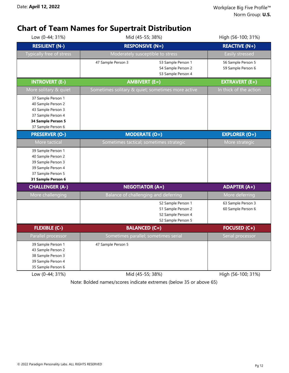## **Chart of Team Names for Supertrait Distribution**

| Low (0-44; 31%)                                                                                                                  | Mid (45-55; 38%)                                                                     | High (56-100; 31%)                       |
|----------------------------------------------------------------------------------------------------------------------------------|--------------------------------------------------------------------------------------|------------------------------------------|
| <b>RESILIENT (N-)</b>                                                                                                            | <b>RESPONSIVE (N=)</b>                                                               | <b>REACTIVE (N+)</b>                     |
| Typically free of stress                                                                                                         | Moderately susceptible to stress                                                     | Easily stressed                          |
|                                                                                                                                  | 47 Sample Person 3<br>53 Sample Person 1<br>54 Sample Person 2<br>53 Sample Person 4 | 56 Sample Person 5<br>59 Sample Person 6 |
| <b>INTROVERT (E-)</b>                                                                                                            | <b>AMBIVERT (E=)</b>                                                                 | <b>EXTRAVERT (E+)</b>                    |
| More solitary & quiet                                                                                                            | Sometimes solitary & quiet; sometimes more active                                    | In thick of the action                   |
| 37 Sample Person 1<br>40 Sample Person 2<br>43 Sample Person 3<br>37 Sample Person 4<br>34 Sample Person 5<br>37 Sample Person 6 |                                                                                      |                                          |
| <b>PRESERVER (O-)</b>                                                                                                            | <b>MODERATE (O=)</b>                                                                 | <b>EXPLORER (O+)</b>                     |
| More tactical                                                                                                                    | Sometimes tactical; sometimes strategic                                              | More strategic                           |
| 39 Sample Person 1<br>40 Sample Person 2<br>39 Sample Person 3<br>39 Sample Person 4<br>37 Sample Person 5<br>31 Sample Person 6 |                                                                                      |                                          |
| <b>CHALLENGER (A-)</b>                                                                                                           | <b>NEGOTIATOR (A=)</b>                                                               | <b>ADAPTER (A+)</b>                      |
| More challenging                                                                                                                 | Balance of challenging and deferring                                                 | More deferring                           |
|                                                                                                                                  | 52 Sample Person 1<br>51 Sample Person 2<br>52 Sample Person 4<br>52 Sample Person 5 | 63 Sample Person 3<br>60 Sample Person 6 |
| <b>FLEXIBLE (C-)</b>                                                                                                             | <b>BALANCED (C=)</b>                                                                 | <b>FOCUSED (C+)</b>                      |
| Parallel processor                                                                                                               | Sometimes parallel; sometimes serial                                                 | Serial processor                         |
| 39 Sample Person 1<br>43 Sample Person 2<br>38 Sample Person 3<br>39 Sample Person 4<br>35 Sample Person 6                       | 47 Sample Person 5                                                                   |                                          |
| Low (0-44; 31%)                                                                                                                  | Mid (45-55; 38%)                                                                     | High (56-100; 31%)                       |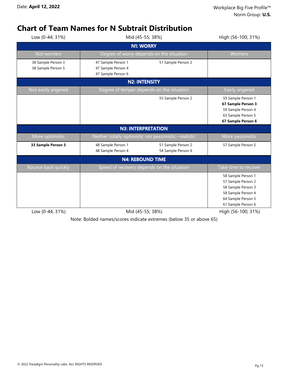## **Chart of Team Names for N Subtrait Distribution**

| Low (0-44; 31%)                          | Mid (45-55; 38%)                                               | High (56-100; 31%)                                    |                                                                                                                                  |
|------------------------------------------|----------------------------------------------------------------|-------------------------------------------------------|----------------------------------------------------------------------------------------------------------------------------------|
|                                          |                                                                | <b>N1: WORRY</b>                                      |                                                                                                                                  |
| Not worriers                             |                                                                | Degree of worry depends on the situation              | <b>Worriers</b>                                                                                                                  |
| 38 Sample Person 3<br>38 Sample Person 5 | 47 Sample Person 1<br>47 Sample Person 4<br>47 Sample Person 6 | 51 Sample Person 2                                    |                                                                                                                                  |
|                                          |                                                                | <b>N2: INTENSITY</b>                                  |                                                                                                                                  |
| Not easily angered                       |                                                                | Degree of temper depends on the situation             | Easily angered                                                                                                                   |
|                                          |                                                                | 55 Sample Person 2                                    | 59 Sample Person 1<br>67 Sample Person 3<br>59 Sample Person 4<br>63 Sample Person 5<br>67 Sample Person 6                       |
|                                          |                                                                | <b>N3: INTERPRETATION</b>                             |                                                                                                                                  |
| More optimistic                          |                                                                | Neither totally optimistic nor pessimistic--realistic | More pessimistic                                                                                                                 |
| 33 Sample Person 3                       | 48 Sample Person 1<br>48 Sample Person 4                       | 51 Sample Person 2<br>54 Sample Person 6              | 57 Sample Person 5                                                                                                               |
|                                          |                                                                | <b>N4: REBOUND TIME</b>                               |                                                                                                                                  |
| Bounce back quickly                      |                                                                | Speed of recovery depends on the situation            | Take time to recover                                                                                                             |
|                                          |                                                                |                                                       | 58 Sample Person 1<br>57 Sample Person 2<br>58 Sample Person 3<br>58 Sample Person 4<br>64 Sample Person 5<br>61 Sample Person 6 |
| Low (0-44; 31%)                          |                                                                | Mid (45-55; 38%)                                      | High (56-100; 31%)                                                                                                               |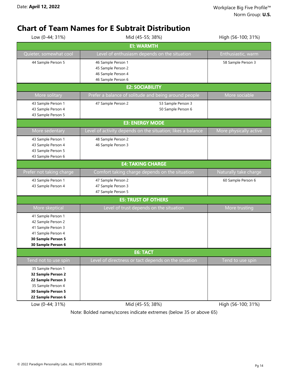## **Chart of Team Names for E Subtrait Distribution**

| Low (0-44; 31%)                                                                                                                                          | Mid (45-55; 38%)                                                                     | High (56-100; 31%)     |  |  |  |
|----------------------------------------------------------------------------------------------------------------------------------------------------------|--------------------------------------------------------------------------------------|------------------------|--|--|--|
| <b>E1: WARMTH</b>                                                                                                                                        |                                                                                      |                        |  |  |  |
| Quieter, somewhat cool                                                                                                                                   | Level of enthusiasm depends on the situation                                         | Enthusiastic, warm     |  |  |  |
| 44 Sample Person 5                                                                                                                                       | 46 Sample Person 1<br>45 Sample Person 2<br>46 Sample Person 4<br>46 Sample Person 6 | 58 Sample Person 3     |  |  |  |
|                                                                                                                                                          | <b>E2: SOCIABILITY</b>                                                               |                        |  |  |  |
| More solitary                                                                                                                                            | Prefer a balance of solitude and being around people                                 | More sociable          |  |  |  |
| 43 Sample Person 1<br>43 Sample Person 4<br>43 Sample Person 5                                                                                           | 47 Sample Person 2<br>53 Sample Person 3<br>50 Sample Person 6                       |                        |  |  |  |
|                                                                                                                                                          | <b>E3: ENERGY MODE</b>                                                               |                        |  |  |  |
| More sedentary                                                                                                                                           | Level of activity depends on the situation; likes a balance                          | More physically active |  |  |  |
| 43 Sample Person 1<br>43 Sample Person 4<br>43 Sample Person 5<br>43 Sample Person 6                                                                     | 48 Sample Person 2<br>46 Sample Person 3                                             |                        |  |  |  |
|                                                                                                                                                          | <b>E4: TAKING CHARGE</b>                                                             |                        |  |  |  |
| Prefer not taking charge                                                                                                                                 | Comfort taking charge depends on the situation                                       | Naturally take charge  |  |  |  |
| 43 Sample Person 1<br>43 Sample Person 4                                                                                                                 | 47 Sample Person 2<br>47 Sample Person 3<br>47 Sample Person 5                       | 60 Sample Person 6     |  |  |  |
|                                                                                                                                                          | <b>E5: TRUST OF OTHERS</b>                                                           |                        |  |  |  |
| More skeptical                                                                                                                                           | Level of trust depends on the situation                                              | More trusting          |  |  |  |
| 41 Sample Person 1<br>42 Sample Person 2<br>41 Sample Person 3<br>41 Sample Person 4<br>30 Sample Person 5<br>30 Sample Person 6                         |                                                                                      |                        |  |  |  |
| <b>E6: TACT</b>                                                                                                                                          |                                                                                      |                        |  |  |  |
| Tend not to use spin<br>35 Sample Person 1<br>32 Sample Person 2<br>22 Sample Person 3<br>35 Sample Person 4<br>30 Sample Person 5<br>22 Sample Person 6 | Level of directness or tact depends on the situation                                 | Tend to use spin       |  |  |  |
| Low (0-44; 31%)                                                                                                                                          | Mid (45-55; 38%)                                                                     | High (56-100; 31%)     |  |  |  |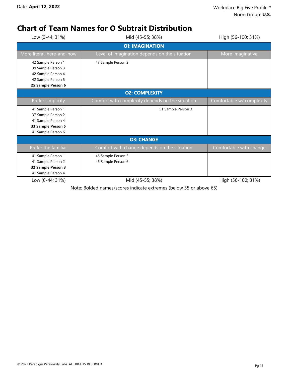## **Chart of Team Names for O Subtrait Distribution**

| Low (0-44; 31%)            | High (56-100; 31%)                               |                           |  |  |  |
|----------------------------|--------------------------------------------------|---------------------------|--|--|--|
|                            | <b>O1: IMAGINATION</b>                           |                           |  |  |  |
| More literal, here-and-now | Level of imagination depends on the situation    | More imaginative          |  |  |  |
| 42 Sample Person 1         | 47 Sample Person 2                               |                           |  |  |  |
| 39 Sample Person 3         |                                                  |                           |  |  |  |
| 42 Sample Person 4         |                                                  |                           |  |  |  |
| 42 Sample Person 5         |                                                  |                           |  |  |  |
| 25 Sample Person 6         |                                                  |                           |  |  |  |
|                            | <b>O2: COMPLEXITY</b>                            |                           |  |  |  |
| Prefer simplicity          | Comfort with complexity depends on the situation | Comfortable w/ complexity |  |  |  |
| 41 Sample Person 1         | 51 Sample Person 3                               |                           |  |  |  |
| 37 Sample Person 2         |                                                  |                           |  |  |  |
| 41 Sample Person 4         |                                                  |                           |  |  |  |
| 33 Sample Person 5         |                                                  |                           |  |  |  |
| 41 Sample Person 6         |                                                  |                           |  |  |  |
|                            | <b>O3: CHANGE</b>                                |                           |  |  |  |
| Prefer the familiar        | Comfort with change depends on the situation     | Comfortable with change   |  |  |  |
| 41 Sample Person 1         | 46 Sample Person 5                               |                           |  |  |  |
| 41 Sample Person 2         | 46 Sample Person 6                               |                           |  |  |  |
| 32 Sample Person 3         |                                                  |                           |  |  |  |
| 41 Sample Person 4         |                                                  |                           |  |  |  |
| Low (0-44; 31%)            | Mid (45-55; 38%)                                 | High (56-100; 31%)        |  |  |  |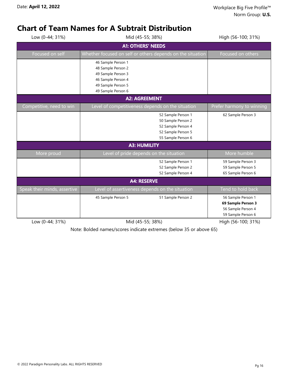## **Chart of Team Names for A Subtrait Distribution**

| Low (0-44; 31%)              | Mid (45-55; 38%)                                                                                           | High (56-100; 31%)                                                                   |  |  |  |
|------------------------------|------------------------------------------------------------------------------------------------------------|--------------------------------------------------------------------------------------|--|--|--|
|                              | <b>A1: OTHERS' NEEDS</b>                                                                                   |                                                                                      |  |  |  |
| Focused on self              | Whether focused on self or others depends on the situation                                                 | Focused on others                                                                    |  |  |  |
|                              | 46 Sample Person 1<br>48 Sample Person 2<br>49 Sample Person 3<br>46 Sample Person 4<br>49 Sample Person 5 |                                                                                      |  |  |  |
|                              | 49 Sample Person 6                                                                                         |                                                                                      |  |  |  |
|                              | <b>A2: AGREEMENT</b>                                                                                       |                                                                                      |  |  |  |
| Competitive, need to win     | Level of competitiveness depends on the situation                                                          | Prefer harmony to winning                                                            |  |  |  |
|                              | 52 Sample Person 1<br>50 Sample Person 2<br>52 Sample Person 4<br>52 Sample Person 5<br>55 Sample Person 6 | 62 Sample Person 3                                                                   |  |  |  |
|                              | <b>A3: HUMILITY</b>                                                                                        |                                                                                      |  |  |  |
| More proud                   | Level of pride depends on the situation                                                                    | More humble                                                                          |  |  |  |
|                              | 52 Sample Person 1<br>52 Sample Person 2<br>52 Sample Person 4                                             | 59 Sample Person 3<br>59 Sample Person 5<br>65 Sample Person 6                       |  |  |  |
| <b>A4: RESERVE</b>           |                                                                                                            |                                                                                      |  |  |  |
| Speak their minds, assertive | Level of assertiveness depends on the situation                                                            | Tend to hold back                                                                    |  |  |  |
|                              | 45 Sample Person 5<br>51 Sample Person 2                                                                   | 56 Sample Person 1<br>69 Sample Person 3<br>56 Sample Person 4<br>59 Sample Person 6 |  |  |  |
| Low (0-44; 31%)              | Mid (45-55; 38%)                                                                                           | High (56-100; 31%)                                                                   |  |  |  |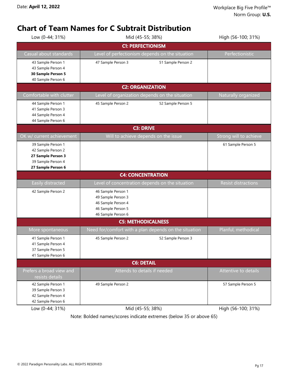## **Chart of Team Names for C Subtrait Distribution**

| Low (0-44; 31%)                                                                                            |                                                                                                            | Mid (45-55; 38%)                                      | High (56-100; 31%)         |  |  |  |
|------------------------------------------------------------------------------------------------------------|------------------------------------------------------------------------------------------------------------|-------------------------------------------------------|----------------------------|--|--|--|
|                                                                                                            | <b>C1: PERFECTIONISM</b>                                                                                   |                                                       |                            |  |  |  |
| Casual about standards                                                                                     |                                                                                                            | Level of perfectionism depends on the situation       | Perfectionistic            |  |  |  |
| 43 Sample Person 1<br>43 Sample Person 4<br>30 Sample Person 5<br>40 Sample Person 6                       | 47 Sample Person 3                                                                                         | 51 Sample Person 2                                    |                            |  |  |  |
|                                                                                                            | <b>C2: ORGANIZATION</b>                                                                                    |                                                       |                            |  |  |  |
| Comfortable with clutter                                                                                   |                                                                                                            | Level of organization depends on the situation        | Naturally organized        |  |  |  |
| 44 Sample Person 1<br>41 Sample Person 3<br>44 Sample Person 4<br>44 Sample Person 6                       | 45 Sample Person 2                                                                                         | 52 Sample Person 5                                    |                            |  |  |  |
|                                                                                                            |                                                                                                            | <b>C3: DRIVE</b>                                      |                            |  |  |  |
| OK w/ current achievement                                                                                  | Will to achieve depends on the issue                                                                       |                                                       | Strong will to achieve     |  |  |  |
| 39 Sample Person 1<br>42 Sample Person 2<br>27 Sample Person 3<br>39 Sample Person 4<br>27 Sample Person 6 |                                                                                                            |                                                       | 61 Sample Person 5         |  |  |  |
|                                                                                                            | <b>C4: CONCENTRATION</b>                                                                                   |                                                       |                            |  |  |  |
| Easily distracted                                                                                          |                                                                                                            | Level of concentration depends on the situation       | <b>Resist distractions</b> |  |  |  |
| 42 Sample Person 2                                                                                         | 46 Sample Person 1<br>49 Sample Person 3<br>46 Sample Person 4<br>46 Sample Person 5<br>46 Sample Person 6 |                                                       |                            |  |  |  |
|                                                                                                            |                                                                                                            | <b>C5: METHODICALNESS</b>                             |                            |  |  |  |
| More spontaneous                                                                                           |                                                                                                            | Need for/comfort with a plan depends on the situation | Planful, methodical        |  |  |  |
| 41 Sample Person 1<br>41 Sample Person 4<br>37 Sample Person 5<br>41 Sample Person 6                       | 45 Sample Person 2                                                                                         | 52 Sample Person 3                                    |                            |  |  |  |
|                                                                                                            |                                                                                                            | <b>C6: DETAIL</b>                                     |                            |  |  |  |
| Prefers a broad view and<br>resists details                                                                | Attends to details if needed                                                                               |                                                       | Attentive to details       |  |  |  |
| 42 Sample Person 1<br>39 Sample Person 3<br>42 Sample Person 4<br>42 Sample Person 6                       | 49 Sample Person 2                                                                                         |                                                       | 57 Sample Person 5         |  |  |  |
| Low (0-44; 31%)                                                                                            | Mid (45-55; 38%)                                                                                           | High (56-100; 31%)                                    |                            |  |  |  |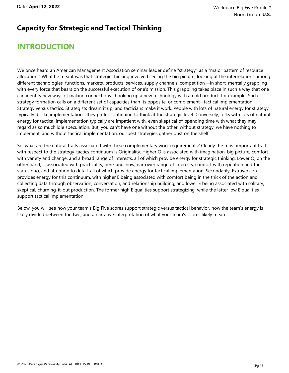#### **Capacity for Strategic and Tactical Thinking**

## **INTRODUCTION**

We once heard an American Management Association seminar leader define "strategy" as a "major pattern of resource allocation." What he meant was that strategic thinking involved seeing the big picture, looking at the interrelations among different technologies, functions, markets, products, services, supply channels, competition --in short, mentally grappling with every force that bears on the successful execution of one's mission. This grappling takes place in such a way that one can identify new ways of making connections--hooking up a new technology with an old product, for example. Such strategy formation calls on a different set of capacities than its opposite, or complement--tactical implementation. Strategy versus tactics. Strategists dream it up, and tacticians make it work. People with lots of natural energy for strategy typically dislike implementation--they prefer continuing to think at the strategic level. Conversely, folks with lots of natural energy for tactical implementation typically are impatient with, even skeptical of, spending time with what they may regard as so much idle speculation. But, you can't have one without the other: without strategy, we have nothing to implement, and without tactical implementation, our best strategies gather dust on the shelf.

So, what are the natural traits associated with these complementary work requirements? Clearly the most important trait with respect to the strategy-tactics continuum is Originality. Higher O is associated with imagination, big picture, comfort with variety and change, and a broad range of interests, all of which provide energy for strategic thinking. Lower O, on the other hand, is associated with practicality, here-and-now, narrower range of interests, comfort with repetition and the status quo, and attention to detail, all of which provide energy for tactical implementation. Secondarily, Extraversion provides energy for this continuum, with higher E being associated with comfort being in the thick of the action and collecting data through observation, conversation, and relationship building, and lower E being associated with solitary, skeptical, churning-it-out production. The former high E qualities support strategizing, while the latter low E qualities support tactical implementation.

Below, you will see how your team's Big Five scores support strategic versus tactical behavior, how the team's energy is likely divided between the two, and a narrative interpretation of what your team's scores likely mean.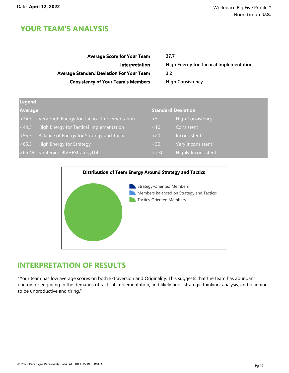| <b>Average Score for Your Team</b>              | 37.7                                           |
|-------------------------------------------------|------------------------------------------------|
| Interpretation                                  | <b>High Energy for Tactical Implementation</b> |
| <b>Average Standard Deviation For Your Team</b> | 3.2                                            |
| <b>Consistency of Your Team's Members</b>       | <b>High Consistency</b>                        |
|                                                 |                                                |

| Legend         |                                              |                           |                            |  |  |  |  |  |
|----------------|----------------------------------------------|---------------------------|----------------------------|--|--|--|--|--|
| <b>Average</b> |                                              | <b>Standard Deviation</b> |                            |  |  |  |  |  |
| < 34.5         | Very High Energy for Tactical Implementation | 7<57                      | <b>High Consistency</b>    |  |  |  |  |  |
| < 44.5         | High Energy for Tactical Implementation      | ~10                       | Consistent                 |  |  |  |  |  |
| < 55.5         | Balance of Energy for Strategy and Tactics   | $20$                      | Inconsistent               |  |  |  |  |  |
| <65.5          | High Energy for Strategy                     | <30                       | Very Inconsistent          |  |  |  |  |  |
|                | >65.49 Strategic.cellVHEStrategyLbl          | $=$ > 30                  | <b>Highly Inconsistent</b> |  |  |  |  |  |



#### **INTERPRETATION OF RESULTS**

"Your team has low average scores on both Extraversion and Originality. This suggests that the team has abundant energy for engaging in the demands of tactical implementation, and likely finds strategic thinking, analysis, and planning to be unproductive and tiring."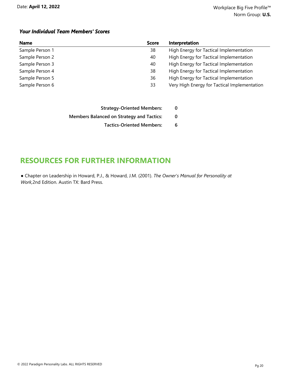#### *Your Individual Team Members' Scores*

| <b>Name</b>     | <b>Score</b> | Interpretation                               |
|-----------------|--------------|----------------------------------------------|
| Sample Person 1 | 38           | High Energy for Tactical Implementation      |
| Sample Person 2 | 40           | High Energy for Tactical Implementation      |
| Sample Person 3 | 40           | High Energy for Tactical Implementation      |
| Sample Person 4 | 38           | High Energy for Tactical Implementation      |
| Sample Person 5 | 36           | High Energy for Tactical Implementation      |
| Sample Person 6 | 33           | Very High Energy for Tactical Implementation |

| <b>Strategy-Oriented Members:</b>                | 0 |
|--------------------------------------------------|---|
| <b>Members Balanced on Strategy and Tactics:</b> | 0 |
| <b>Tactics-Oriented Members:</b>                 | 6 |

## **RESOURCES FOR FURTHER INFORMATION**

● Chapter on Leadership in Howard, P.J., & Howard, J.M. (2001). *The Owner's Manual for Personality at Work,*2nd Edition. Austin TX: Bard Press.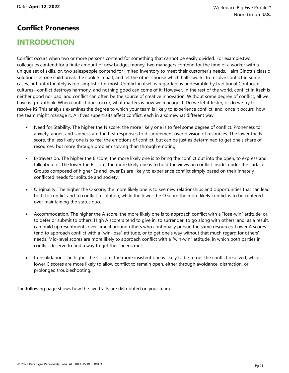#### **Conflict Proneness**

## **INTRODUCTION**

Conflict occurs when two or more persons contend for something that cannot be easily divided. For example,two colleagues contend for a finite amount of new budget money, two managers contend for the time of a worker with a unique set of skills, or, two salespeople contend for limited inventory to meet their customer's needs. Haim Ginott's classic solution--let one child break the cookie in half, and let the other choose which half--works to resolve conflict in some cases, but unfortunately is too simplistic for most. Conflict in itself is regarded as undesirable by traditional Confucian cultures--conflict destroys harmony, and nothing good can come of it. However, in the rest of the world, conflict in itself is neither good nor bad, and conflict can often be the source of creative innovation. Without some degree of conflict, all we have is groupthink. When conflict does occur, what matters is how we manage it. Do we let it fester, or do we try to resolve it? This analysis examines the degree to which your team is likely to experience conflict, and, once it occurs, how the team might manage it. All fives supertraits affect conflict, each in a somewhat different way.

- Need for Stability. The higher the N score, the more likely one is to feel some degree of conflict. Proneness to anxiety, anger, and sadness are the first responses to disagreement over division of resources. The lower the N score, the less likely one is to feel the emotions of conflict, but can be just as determined to get one's share of resources, but more through problem solving than through emoting.
- · Extraversion. The higher the E score, the more likely one is to bring the conflict out into the open, to express and talk about it. The lower the E score, the more likely one is to hold the views on conflict inside, under the surface. Groups composed of higher Es and lower Es are likely to experience conflict simply based on their innately conflicted needs for solitude and society.
- · Originality. The higher the O score, the more likely one is to see new relationships and opportunities that can lead both to conflict and to conflict resolution, while the lower the O score the more likely conflict is to be centered over maintaining the status quo.
- · Accommodation. The higher the A score, the more likely one is to approach conflict with a "lose-win" attitude, or, to defer or submit to others. High A scorers tend to give in, to surrender, to go along with others, and, as a result, can build up resentments over time if around others who continually pursue the same resources. Lower A scores tend to approach conflict with a "win-lose" attitude, or to get one's way without that much regard for others' needs. Mid-level scores are more likely to approach conflict with a "win-win" attitude, in which both parties in conflict deserve to find a way to get their needs met.
- Consolidation. The higher the C score, the more insistent one is likely to be to get the conflict resolved, while lower C scores are more likely to allow conflict to remain open, either through avoidance, distraction, or prolonged troubleshooting.

The following page shows how the five traits are distributed on your team.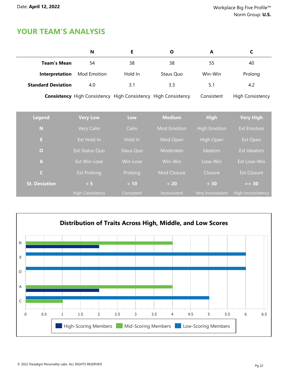|                           | N                                                                     | E                | O                  | A                   | C                         |
|---------------------------|-----------------------------------------------------------------------|------------------|--------------------|---------------------|---------------------------|
| <b>Team's Mean</b>        | 54                                                                    | 38               | 38                 | 55                  | 40                        |
| Interpretation            | Mod Emotion                                                           | Hold In          | Staus Quo          | Win-Win             | Prolong                   |
| <b>Standard Deviation</b> | 4.0                                                                   | 3.1              | 3.3                | 5.1                 | 4.2                       |
|                           | <b>Consistency</b> High Consistency High Consistency High Consistency |                  |                    | Consistent          | <b>High Consistency</b>   |
|                           |                                                                       |                  |                    |                     |                           |
| <b>Legend</b>             | <b>Very Low</b>                                                       | Low              | <b>Medium</b>      | <b>High</b>         | <b>Very High</b>          |
| N                         | Very Calm                                                             | Calm             | <b>Mod Emotion</b> | <b>High Emotion</b> | <b>Ext Emotion</b>        |
| E.                        | Ext Hold In                                                           | Hold In          | Mod Open           | <b>High Open</b>    | Ext Open                  |
| $\overline{O}$            | Ext Status Quo                                                        | <b>Staus Quo</b> | <b>Moderates</b>   | Ideators            | <b>Ext Ideators</b>       |
| $\blacktriangle$          | Ext Win-Lose                                                          | Win-Lose         | Win-Win            | Lose-Win            | Ext Lose-Win              |
| $\mathsf{C}$              | <b>Ext Prolong</b>                                                    | Prolong          | Mod Closure        | Closure             | <b>Ext Closure</b>        |
| <b>St. Deviation</b>      | < 5                                                                   | $< 10$           | $< 20$             | < 30                | $=$ > 30                  |
|                           | <b>High Consistency</b>                                               | Consistent       | Inconsistent       | Very Inconsistent   | <b>High Inconsistency</b> |

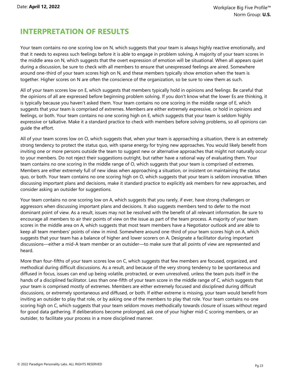## **INTERPRETATION OF RESULTS**

Your team contains no one scoring low on N, which suggests that your team is always highly reactive emotionally, and that it needs to express such feelings before it is able to engage in problem solving. A majority of your team scores in the middle area on N, which suggests that the overt expression of emotion will be situational. When all appears quiet during a discussion, be sure to check with all members to ensure that unexpressed feelings are aired. Somewhere around one-third of your team scores high on N, and these members typically show emotion when the team is together. Higher scores on N are often the conscience of the organization, so be sure to view them as such.

All of your team scores low on E, which suggests that members typically hold in opinions and feelings. Be careful that the opinions of all are expressed before beginning problem solving. If you don't know what the lower Es are thinking, it is typically because you haven't asked them. Your team contains no one scoring in the middle range of E, which suggests that your team is comprised of extremes. Members are either extremely expressive, or hold in opinions and feelings, or both. Your team contains no one scoring high on E, which suggests that your team is seldom highly expressive or talkative. Make it a standard practice to check with members before solving problems, so all opinions can guide the effort.

All of your team scores low on O, which suggests that, when your team is approaching a situation, there is an extremely strong tendency to protect the status quo, with sparse energy for trying new approaches. You would likely benefit from inviting one or more persons outside the team to suggest new or alternative approaches that might not naturally occur to your members. Do not reject their suggestions outright, but rather have a rational way of evaluating them. Your team contains no one scoring in the middle range of O, which suggests that your team is comprised of extremes. Members are either extremely full of new ideas when approaching a situation, or insistent on maintaining the status quo, or both. Your team contains no one scoring high on O, which suggests that your team is seldom innovative. When discussing important plans and decisions, make it standard practice to explicitly ask members for new approaches, and consider asking an outsider for suggestions.

Your team contains no one scoring low on A, which suggests that you rarely, if ever, have strong challengers or aggressors when discussing important plans and decisions. It also suggests members tend to defer to the most dominant point of view. As a result, issues may not be resolved with the benefit of all relevant information. Be sure to encourage all members to air their points of view on the issue as part of the team process. A majority of your team scores in the middle area on A, which suggests that most team members have a Negotiator outlook and are able to keep all team members' points of view in mind. Somewhere around one-third of your team scores high on A, which suggests that your team has a balance of higher and lower scorers on A. Designate a facilitator during important discussions—either a mid-A team member or an outsider—to make sure that all points of view are represented and heard.

More than four-fifths of your team scores low on C, which suggests that few members are focused, organized, and methodical during difficult discussions. As a result, and because of the very strong tendency to be spontaneous and diffused in focus, issues can end up being volatile, protracted, or even unresolved, unless the team puts itself in the hands of a disciplined facilitator. Less than one-fifth of your team score in the middle range of C, which suggests that your team is comprised mostly of extremes. Members are either extremely focused and disciplined during difficult discussions, or extremely spontaneous and diffused, or both. If either extreme is missing, your team would benefit from inviting an outsider to play that role, or by asking one of the members to play that role. Your team contains no one scoring high on C, which suggests that your team seldom moves methodically towards closure of issues without regard for good data gathering. If deliberations become prolonged, ask one of your higher mid-C scoring members, or an outsider, to facilitate your process in a more disciplined manner.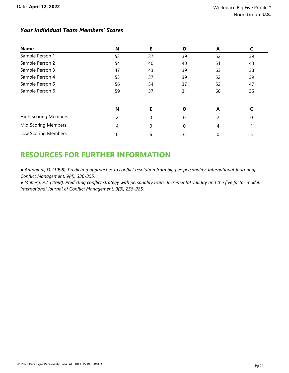#### *Your Individual Team Members' Scores*

| <b>Name</b>                  | N  | Е        | Ο        | A  |    |
|------------------------------|----|----------|----------|----|----|
| Sample Person 1              | 53 | 37       | 39       | 52 | 39 |
| Sample Person 2              | 54 | 40       | 40       | 51 | 43 |
| Sample Person 3              | 47 | 43       | 39       | 63 | 38 |
| Sample Person 4              | 53 | 37       | 39       | 52 | 39 |
| Sample Person 5              | 56 | 34       | 37       | 52 | 47 |
| Sample Person 6              | 59 | 37       | 31       | 60 | 35 |
|                              | N  | Е        | Ο        | A  |    |
| <b>High Scoring Members:</b> |    | $\Omega$ | $\Omega$ | 2  | 0  |
| Mid Scoring Members:         | 4  | 0        | 0        | 4  |    |
| Low Scoring Members:         |    | 6        | 6        | 0  | 5  |

## **RESOURCES FOR FURTHER INFORMATION**

· Antonioni, D. (1998). Predicting approaches to conflict resolution from big five personality. International Journal of *Conflict Management, 9(4), 336-355.*

• Moberg, P.J. (1998). Predicting conflict strategy with personality traits: Incremental validity and the five factor model. *International Journal of Conflict Management. 9(3), 258-285.*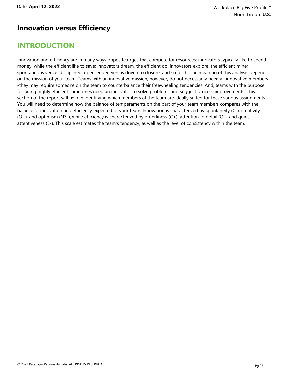#### **Innovation versus Efficiency**

## **INTRODUCTION**

Innovation and efficiency are in many ways opposite urges that compete for resources: innovators typically like to spend money, while the efficient like to save; innovators dream, the efficient do; innovators explore, the efficient mine; spontaneous versus disciplined; open-ended versus driven to closure, and so forth. The meaning of this analysis depends on the mission of your team. Teams with an innovative mission, however, do not necessarily need all innovative members- -they may require someone on the team to counterbalance their freewheeling tendencies. And, teams with the purpose for being highly efficient sometimes need an innovator to solve problems and suggest process improvements. This section of the report will help in identifying which members of the team are ideally suited for these various assignments. You will need to determine how the balance of temperaments on the part of your team members compares with the balance of innovation and efficiency expected of your team. Innovation is characterized by spontaneity (C-), creativity  $(O<sub>+</sub>)$ , and optimism (N3-), while efficiency is characterized by orderliness  $(C<sub>+</sub>)$ , attention to detail  $(O<sub>+</sub>)$ , and quiet attentiveness (E-). This scale estimates the team's tendency, as well as the level of consistency within the team.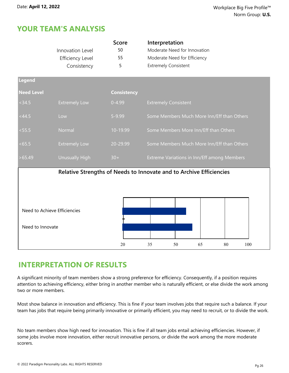|                   | Innovation Level<br><b>Efficiency Level</b><br>Consistency | <b>Score</b><br>50<br>55<br>5 | Interpretation<br>Moderate Need for Innovation<br>Moderate Need for Efficiency<br><b>Extremely Consistent</b> |  |  |  |  |  |  |
|-------------------|------------------------------------------------------------|-------------------------------|---------------------------------------------------------------------------------------------------------------|--|--|--|--|--|--|
| Legend            |                                                            |                               |                                                                                                               |  |  |  |  |  |  |
| <b>Need Level</b> |                                                            | <b>Consistency</b>            |                                                                                                               |  |  |  |  |  |  |
| <34.5             | <b>Extremely Low</b>                                       | $0 - 4.99$                    | <b>Extremely Consistent</b>                                                                                   |  |  |  |  |  |  |
| <44.5             | Low                                                        | 5-9.99                        | Some Members Much More Inn/Eff than Others                                                                    |  |  |  |  |  |  |
| < 55.5            | Normal                                                     | 10-19.99                      | Some Members More Inn/Eff than Others                                                                         |  |  |  |  |  |  |
| <65.5             | <b>Extremely Low</b>                                       | 20-29.99                      | Some Members Much More Inn/Eff than Others                                                                    |  |  |  |  |  |  |
| >65.49            | <b>Unusually High</b>                                      | $30+$                         | Extreme Variations in Inn/Eff among Members                                                                   |  |  |  |  |  |  |
| Need to Innovate  | Need to Achieve Efficiencies                               |                               | Relative Strengths of Needs to Innovate and to Archive Efficiencies                                           |  |  |  |  |  |  |
|                   |                                                            | 20                            | 35<br>50<br>65<br>80<br>100                                                                                   |  |  |  |  |  |  |

#### **INTERPRETATION OF RESULTS**

A significant minority of team members show a strong preference for efficiency. Consequently, if a position requires attention to achieving efficiency, either bring in another member who is naturally efficient, or else divide the work among two or more members.

Most show balance in innovation and efficiency. This is fine if your team involves jobs that require such a balance. If your team has jobs that require being primarily innovative or primarily efficient, you may need to recruit, or to divide the work.

No team members show high need for innovation. This is fine if all team jobs entail achieving efficiencies. However, if some jobs involve more innovation, either recruit innovative persons, or divide the work among the more moderate scorers.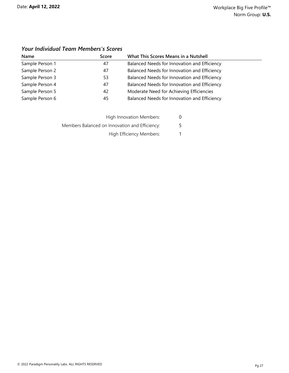| Name            | Score | What This Scores Means in a Nutshell         |
|-----------------|-------|----------------------------------------------|
| Sample Person 1 | 47    | Balanced Needs for Innovation and Efficiency |
| Sample Person 2 | 47    | Balanced Needs for Innovation and Efficiency |
| Sample Person 3 | 53    | Balanced Needs for Innovation and Efficiency |
| Sample Person 4 | 47    | Balanced Needs for Innovation and Efficiency |
| Sample Person 5 | 42    | Moderate Need for Achieving Efficiencies     |
| Sample Person 6 | 45    | Balanced Needs for Innovation and Efficiency |

#### *Your Individual Team Members's Scores*

| High Innovation Members:                       | U |
|------------------------------------------------|---|
| Members Balanced on Innovation and Efficiency: | 5 |
| High Efficiency Members:                       | 1 |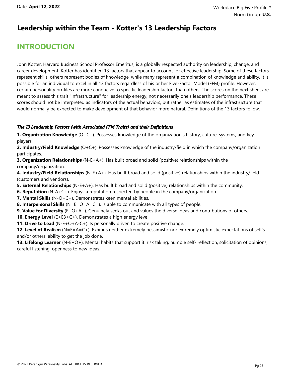#### **Leadership within the Team - Kotter's 13 Leadership Factors**

## **INTRODUCTION**

John Kotter, Harvard Business School Professor Emeritus, is a globally respected authority on leadership, change, and career development. Kotter has identified 13 factors that appear to account for effective leadership. Some of these factors represent skills, others represent bodies of knowledge, while many represent a combination of knowledge and ability. It is possible for an individual to excel in all 13 factors regardless of his or her Five-Factor Model (FFM) profile. However, certain personality profiles are more conducive to specific leadership factors than others. The scores on the next sheet are meant to assess this trait "infrastructure" for leadership energy, not necessarily one's leadership performance. These scores should not be interpreted as indicators of the actual behaviors, but rather as estimates of the infrastructure that would normally be expected to make development of that behavior more natural. Definitions of the 13 factors follow.

#### *The 13 Leadership Factors (with Associated FFM Traits) and their Definitions*

**1. Organization Knowledge** (O+C+). Possesses knowledge of the organization's history, culture, systems, and key players.

**2. Industry/Field Knowledge** (O+C+). Possesses knowledge of the industry/field in which the company/organization participates.

**3. Organization Relationships** (N-E+A+). Has built broad and solid (positive) relationships within the company/organization.

**4. Industry/Field Relationships** (N-E+A+). Has built broad and solid (positive) relationships within the industry/field (customers and vendors).

**5. External Relationships** (N-E+A+). Has built broad and solid (positive) relationships within the community.

**6. Reputation** (N-A+C+). Enjoys a reputation respected by people in the company/organization.

**7. Mental Skills** (N-O+C+). Demonstrates keen mental abilities.

**8. Interpersonal Skills** (N=E=O=A=C=). Is able to communicate with all types of people.

**9. Value for Diversity** (E+O+A+). Genuinely seeks out and values the diverse ideas and contributions of others.

**10. Energy Level** (E+E3+C+). Demonstrates a high energy level.

**11. Drive to Lead** (N-E+O+A-C+). Is personally driven to create positive change.

**12. Level of Realism** (N=E=A=C+). Exhibits neither extremely pessimistic nor extremely optimistic expectations of self's and/or others' ability to get the job done.

**13. Lifelong Learner** (N-E+O+). Mental habits that support it: risk taking, humble self- reflection, solicitation of opinions, careful listening, openness to new ideas.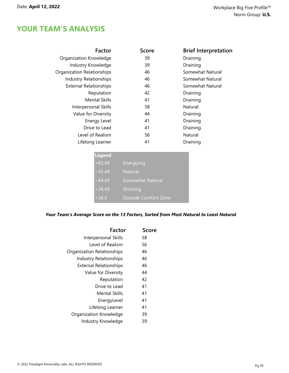| Factor                            | <b>Score</b> | <b>Brief Interpretation</b> |
|-----------------------------------|--------------|-----------------------------|
| Organization Knowledge            | 39           | Draining                    |
| Industry Knowledge                | 39           | Draining                    |
| <b>Organization Relationships</b> | 46           | Somewhat Natural            |
| <b>Industry Relationships</b>     | 46           | Somewhat Natural            |
| <b>External Relationships</b>     | 46           | Somewhat Natural            |
| Reputation                        | 42           | Draining                    |
| <b>Mental Skills</b>              | 41           | Draining                    |
| Interpersonal Skills              | 58           | Natural                     |
| Value for Diversity               | 44           | Draining                    |
| Energy Level                      | 41           | Draining                    |
| Drive to Lead                     | 41           | Draining                    |
| Level of Realism                  | 56           | Natural                     |
| Lifelong Learner                  | 41           | Draining                    |

| Legend |                             |
|--------|-----------------------------|
| >65.49 | <b>Energizing</b>           |
| >55.49 | <b>Natural</b>              |
| >44.49 | Somewhat Natural            |
| >34.49 | <b>Draining</b>             |
| < 34.5 | <b>Outside Comfort Zone</b> |

*Your Team's Average Score on the 13 Factors, Sorted from Most Natural to Least Natural*

| Factor                        | Score |
|-------------------------------|-------|
| Interpersonal Skills          | 58    |
| Level of Realism              | 56    |
| Organization Relationships    | 46    |
| <b>Industry Relationships</b> | 46    |
| <b>External Relationships</b> | 46    |
| Value for Diversity           | 44    |
| Reputation                    | 42    |
| Drive to Lead                 | 41    |
| <b>Mental Skills</b>          | 41    |
| EnergyLevel                   | 41    |
| Lifelong Learner              | 41    |
| Organization Knowledge        | 39    |
| Industry Knowledge            | 39    |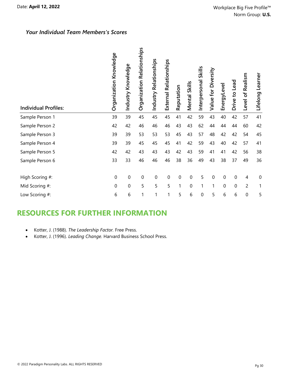#### *Your Individual Team Members's Scores*

| <b>Individual Profiles:</b> | Organization Knowledge | Industry Knowledge | Organization Relationships | Relationships<br>Industry | Relationships<br>External | Reputation | <b>Mental Skills</b> | <b>Skills</b><br>Interpersonal | Value for Diversity | EnergyLevel    | Drive to Lead | Level of Realism | Learner<br>Lifelong |
|-----------------------------|------------------------|--------------------|----------------------------|---------------------------|---------------------------|------------|----------------------|--------------------------------|---------------------|----------------|---------------|------------------|---------------------|
| Sample Person 1             | 39                     | 39                 | 45                         | 45                        | 45                        | 41         | 42                   | 59                             | 43                  | 40             | 42            | 57               | 41                  |
| Sample Person 2             | 42                     | 42                 | 46                         | 46                        | 46                        | 43         | 43                   | 62                             | 44                  | 44             | 44            | 60               | 42                  |
| Sample Person 3             | 39                     | 39                 | 53                         | 53                        | 53                        | 45         | 43                   | 57                             | 48                  | 42             | 42            | 54               | 45                  |
| Sample Person 4             | 39                     | 39                 | 45                         | 45                        | 45                        | 41         | 42                   | 59                             | 43                  | 40             | 42            | 57               | 41                  |
| Sample Person 5             | 42                     | 42                 | 43                         | 43                        | 43                        | 42         | 43                   | 59                             | 41                  | 41             | 42            | 56               | 38                  |
| Sample Person 6             | 33                     | 33                 | 46                         | 46                        | 46                        | 38         | 36                   | 49                             | 43                  | 38             | 37            | 49               | 36                  |
| High Scoring #:             | $\mathbf 0$            | 0                  | $\mathbf 0$                | $\mathbf 0$               | $\overline{0}$            | 0          | 0                    | 5                              | 0                   | $\Omega$       | $\mathbf 0$   | $\overline{4}$   | $\mathbf 0$         |
| Mid Scoring #:              | $\overline{0}$         | 0                  | 5                          | 5                         | 5                         | 1          | 0                    | 1                              | 1                   | $\overline{0}$ | $\mathbf 0$   | $\overline{c}$   | 1                   |
| Low Scoring #:              | 6                      | 6                  | 1                          | 1                         | 1                         | 5          | 6                    | 0                              | 5                   | 6              | 6             | $\mathbf 0$      | 5                   |

## **RESOURCES FOR FURTHER INFORMATION**

- · Kotter, J. (1988). *The Leadership Factor.* Free Press.
- · Kotter, J. (1996). *Leading Change.* Harvard Business School Press.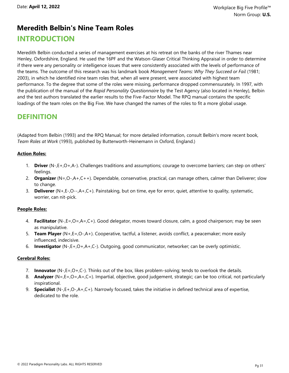## **Meredith Belbin's Nine Team Roles**

#### **INTRODUCTION**

Meredith Belbin conducted a series of management exercises at his retreat on the banks of the river Thames near Henley, Oxfordshire, England. He used the 16PF and the Watson-Glaser Critical Thinking Appraisal in order to determine if there were any personality or intelligence issues that were consistently associated with the levels of performance of the teams. The outcome of this research was his landmark book *Management Teams: Why They Succeed or Fail* (1981; 2003), in which he identified nine team roles that, when all were present, were associated with highest team performance. To the degree that some of the roles were missing, performance dropped commensurately. In 1997, with the publication of the manual of the *Rapid Personality Questionnaire* by the Test Agency (also located in Henley), Belbin and the test authors translated the earlier results to the Five-Factor Model. The RPQ manual contains the specific loadings of the team roles on the Big Five. We have changed the names of the roles to fit a more global usage.

#### **DEFINITION**

(Adapted from Belbin (1993) and the RPQ Manual; for more detailed information, consult Belbin's more recent book, *Team Roles at Work* (1993), published by Butterworth-Heinemann in Oxford, England.)

#### **Action Roles:**

- 1. **Driver** (N-,E+,O+,A-). Challenges traditions and assumptions; courage to overcome barriers; can step on others' feelings.
- 2. **Organizer** (N=,O-,A+,C++). Dependable, conservative, practical, can manage others, calmer than Deliverer; slow to change.
- 3. **Deliverer** (N+,E-,O--,A+,C+). Painstaking, but on time, eye for error, quiet, attentive to quality, systematic, worrier, can nit-pick.

#### **People Roles:**

- 4. **Facilitator** (N-,E=,O=,A=,C+). Good delegator, moves toward closure, calm, a good chairperson; may be seen as manipulative.
- 5. **Team Player** (N+,E=,O-,A+). Cooperative, tactful, a listener, avoids conflict, a peacemaker; more easily influenced, indecisive.
- 6. **Investigator** (N-,E+,O+,A+,C-). Outgoing, good communicator, networker; can be overly optimistic.

#### **Cerebral Roles:**

- 7. **Innovator** (N-,E=,O+,C-). Thinks out of the box, likes problem-solving; tends to overlook the details.
- 8. **Analyzer** (N=,E=,O=,A=,C=). Impartial, objective, good judgement, strategic; can be too critical, not particularly inspirational.
- 9. **Specialist** (N-,E+,O-,A+,C+). Narrowly focused, takes the initiative in defined technical area of expertise, dedicated to the role.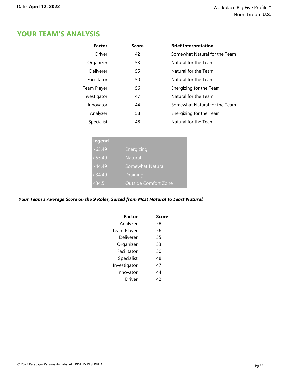| <b>Factor</b> | Score | <b>Brief Interpretation</b>   |
|---------------|-------|-------------------------------|
| Driver        | 42    | Somewhat Natural for the Team |
| Organizer     | 53    | Natural for the Team          |
| Deliverer     | 55    | Natural for the Team          |
| Facilitator   | 50    | Natural for the Team          |
| Team Player   | 56    | Energizing for the Team       |
| Investigator  | 47    | Natural for the Team          |
| Innovator     | 44    | Somewhat Natural for the Team |
| Analyzer      | 58    | Energizing for the Team       |
| Specialist    | 48    | Natural for the Team          |

| <b>Legend</b> |                             |
|---------------|-----------------------------|
| >65.49        | Energizing                  |
| >55.49        | <b>Natural</b>              |
| >44.49        | Somewhat Natural            |
| >34.49        | <b>Draining</b>             |
| < 34.5        | <b>Outside Comfort Zone</b> |

#### *Your Team's Average Score on the 9 Roles, Sorted from Most Natural to Least Natural*

| Factor       | Score |
|--------------|-------|
| Analyzer     | 58    |
| Team Player  | 56    |
| Deliverer    | 55    |
| Organizer    | 53    |
| Facilitator  | 50    |
| Specialist   | 48    |
| Investigator | 47    |
| Innovator    | 44    |
| Driver       | 42    |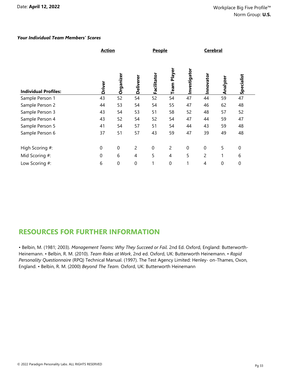#### *Your Individual Team Members' Scores*

|                             | <b>Action</b> |                  |                  | <b>People</b>    |                |              | <b>Cerebral</b> |              |             |  |  |
|-----------------------------|---------------|------------------|------------------|------------------|----------------|--------------|-----------------|--------------|-------------|--|--|
| <b>Individual Profiles:</b> | Driver        | Organize         | Deliverer        | Facilitator      | Team Player    | Investigator | Innovator       | Analyzer     | Specialist  |  |  |
| Sample Person 1             | 43            | 52               | 54               | 52               | 54             | 47           | 44              | 59           | 47          |  |  |
| Sample Person 2             | 44            | 53               | 54               | 54               | 55             | 47           | 46              | 62           | 48          |  |  |
| Sample Person 3             | 43            | 54               | 53               | 51               | 58             | 52           | 48              | 57           | 52          |  |  |
| Sample Person 4             | 43            | 52               | 54               | 52               | 54             | 47           | 44              | 59           | 47          |  |  |
| Sample Person 5             | 41            | 54               | 57               | 51               | 54             | 44           | 43              | 59           | 48          |  |  |
| Sample Person 6             | 37            | 51               | 57               | 43               | 59             | 47           | 39              | 49           | 48          |  |  |
| High Scoring #:             | 0             | $\boldsymbol{0}$ | $\overline{c}$   | $\boldsymbol{0}$ | $\overline{2}$ | $\mathbf 0$  | $\mathbf 0$     | 5            | $\mathbf 0$ |  |  |
| Mid Scoring #:              | $\mathbf 0$   | 6                | $\overline{4}$   | 5                | 4              | 5            | 2               | $\mathbf{1}$ | 6           |  |  |
| Low Scoring #:              | 6             | 0                | $\boldsymbol{0}$ | 1                | $\mathbf 0$    |              | 4               | $\mathbf 0$  | $\mathbf 0$ |  |  |

#### **RESOURCES FOR FURTHER INFORMATION**

• Belbin, M. (1981; 2003). *Management Teams: Why They Succeed or Fail.* 2nd Ed. Oxford, England: Butterworth-Heinemann. • Belbin, R. M. (2010). *Team Roles at Work*, 2nd ed. Oxford, UK: Butterworth Heinemann. • *Rapid Personality Questionnaire* (RPQ) Technical Manual. (1997). The Test Agency Limited: Henley- on-Thames, Oxon, England. • Belbin, R. M. (2000) *Beyond The Team.* Oxford, UK: Butterworth Heinemann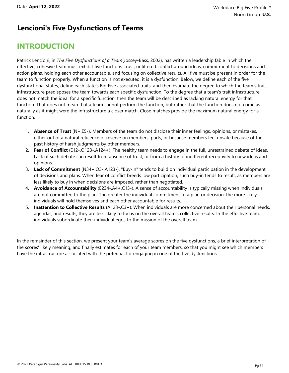#### **Lencioni's Five Dysfunctions of Teams**

## **INTRODUCTION**

Patrick Lencioni, in *The Five Dysfunctions of a Team*(Jossey-Bass, 2002), has written a leadership fable in which the effective, cohesive team must exhibit five functions: trust, unfiltered conflict around ideas, commitment to decisions and action plans, holding each other accountable, and focusing on collective results. All five must be present in order for the team to function properly. When a function is not executed, it is a dysfunction. Below, we define each of the five dysfunctional states, define each state's Big Five associated traits, and then estimate the degree to which the team's trait infrastructure predisposes the team towards each specific dysfunction. To the degree that a team's trait infrastructure does not match the ideal for a specific function, then the team will be described as lacking natural energy for that function. That does not mean that a team cannot perform the function, but rather that the function does not come as naturally as it might were the infrastructure a closer match. Close matches provide the maximum natural energy for a function.

- 1. **Absence of Trust** (N+,E5-). Members of the team do not disclose their inner feelings, opinions, or mistakes, either out of a natural reticence or reserve on members' parts, or because members feel unsafe because of the past history of harsh judgments by other members.
- 2. **Fear of Conflict** (E12-,O123-,A124+). The healthy team needs to engage in the full, unrestrained debate of ideas. Lack of such debate can result from absence of trust, or from a history of indifferent receptivity to new ideas and opinions.
- 3. **Lack of Commitment** (N34+,O3-,A123-). "Buy-in" tends to build on individual participation in the development of decisions and plans. When fear of conflict breeds low participation, such buy-in tends to result, as members are less likely to buy in when decisions are imposed, rather than negotiated.
- 4. **Avoidance of Accountability** (E234-,A4+,C13-). A sense of accountability is typically missing when individuals are not committed to the plan. The greater the individual commitment to a plan or decision, the more likely individuals will hold themselves and each other accountable for results.
- 5. **Inattention to Collective Results** (A123-,C3+). When individuals are more concerned about their personal needs, agendas, and results, they are less likely to focus on the overall team's collective results. In the effective team, individuals subordinate their individual egos to the mission of the overall team.

In the remainder of this section, we present your team's average scores on the five dysfunctions, a brief interpretation of the scores' likely meaning, and finally estimates for each of your team members, so that you might see which members have the infrastructure associated with the potential for engaging in one of the five dysfunctions.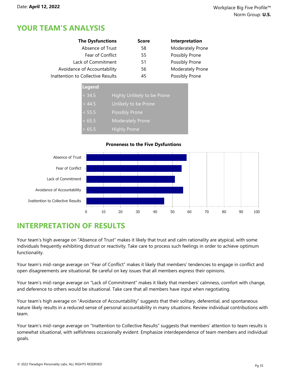| <b>The Dysfunctions</b>           | <b>Score</b> | Interpretation   |
|-----------------------------------|--------------|------------------|
| Absence of Trust                  | 58           | Moderately Prone |
| Fear of Conflict                  | 55           | Possibly Prone   |
| Lack of Commitment                | 51           | Possibly Prone   |
| Avoidance of Accountability       | 56           | Moderately Prone |
| Inattention to Collective Results | 45           | Possibly Prone   |

| Legend |                             |
|--------|-----------------------------|
| < 34.5 | Highly Unlikely to be Prone |
| < 44.5 | Unlikely to be Prone        |
| < 55.5 | <b>Possibly Prone</b>       |
| < 65.5 | <b>Moderately Prone</b>     |
| 65.5   | <b>Highly Prone</b>         |

#### **Proneness to the Five Dysfuntions**



## **INTERPRETATION OF RESULTS**

Your team's high average on "Absence of Trust" makes it likely that trust and calm rationality are atypical, with some individuals frequently exhibiting distrust or reactivity. Take care to process such feelings in order to achieve optimum functionality.

Your team's mid-range average on "Fear of Conflict" makes it likely that members' tendencies to engage in conflict and open disagreements are situational. Be careful on key issues that all members express their opinions.

Your team's mid-range average on "Lack of Commitment" makes it likely that members' calmness, comfort with change, and deference to others would be situational. Take care that all members have input when negotiating.

Your team's high average on "Avoidance of Accountability" suggests that their solitary, deferential, and spontaneous nature likely results in a reduced sense of personal accountability in many situations. Review individual contributions with team.

Your team's mid-range average on "Inattention to Collective Results" suggests that members' attention to team results is somewhat situational, with selfishness occasionally evident. Emphasize interdependence of team members and individual goals.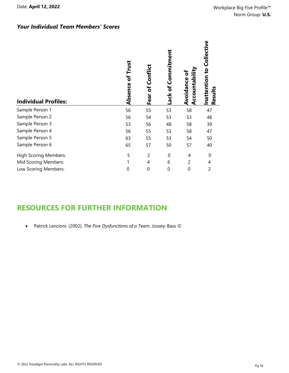| <b>Individual Profiles:</b>  | Trust<br>đ<br>Absence | Confict<br>Ⴆ<br>Fear | Commitment<br>Lack of | g<br>Accountabil<br>Avoidance | Inattention to Collective<br>Results |
|------------------------------|-----------------------|----------------------|-----------------------|-------------------------------|--------------------------------------|
| Sample Person 1              | 56                    | 55                   | 53                    | 58                            | 47                                   |
| Sample Person 2              | 56                    | 54                   | 53                    | 53                            | 48                                   |
| Sample Person 3              | 53                    | 56                   | 48                    | 58                            | 39                                   |
| Sample Person 4              | 56                    | 55                   | 53                    | 58                            | 47                                   |
| Sample Person 5              | 63                    | 55                   | 53                    | 54                            | 50                                   |
| Sample Person 6              | 65                    | 57                   | 50                    | 57                            | 40                                   |
| <b>High Scoring Members:</b> | 5                     | $\overline{2}$       | $\mathbf 0$           | $\overline{4}$                | $\Omega$                             |
| Mid Scoring Members:         | 1                     | 4                    | 6                     | $\overline{2}$                | 4                                    |
| Low Scoring Members:         | $\overline{0}$        | $\boldsymbol{0}$     | $\boldsymbol{0}$      | $\mathbf 0$                   | 2                                    |

## **RESOURCES FOR FURTHER INFORMATION**

· Patrick Lencioni. (2002). *The Five Dysfunctions of a Team*. Jossey-Bass ©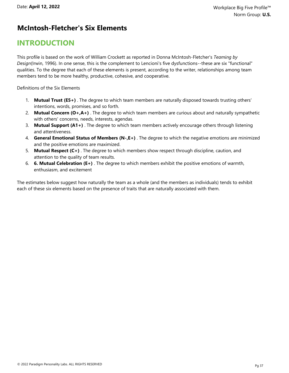#### **McIntosh-Fletcher's Six Elements**

## **INTRODUCTION**

This profile is based on the work of William Crockett as reported in Donna McIntosh-Fletcher's *Teaming by Design*(Irwin, 1996). In one sense, this is the complement to Lencioni's five dysfunctions--these are six "functional" qualities. To the degree that each of these elements is present, according to the writer, relationships among team members tend to be more healthy, productive, cohesive, and cooperative.

Definitions of the Six Elements

- 1. **Mutual Trust (E5+)** . The degree to which team members are naturally disposed towards trusting others' intentions, words, promises, and so forth.
- 2. **Mutual Concern (O+,A+)** . The degree to which team members are curious about and naturally sympathetic with others' concerns, needs, interests, agendas.
- 3. **Mutual Support (A1+)** . The degree to which team members actively encourage others through listening and attentiveness.
- 4. **General Emotional Status of Members (N-,E+)** . The degree to which the negative emotions are minimized and the positive emotions are maximized.
- 5. **Mutual Respect (C+)** . The degree to which members show respect through discipline, caution, and attention to the quality of team results.
- 6. **6. Mutual Celebration (E+)** . The degree to which members exhibit the positive emotions of warmth, enthusiasm, and excitement

The estimates below suggest how naturally the team as a whole (and the members as individuals) tends to exhibit each of these six elements based on the presence of traits that are naturally associated with them.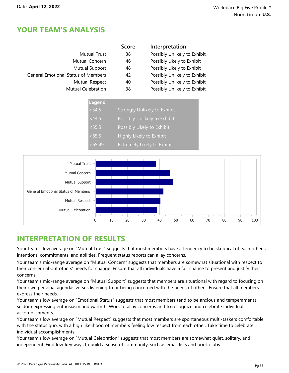|                                            | <b>Score</b> | Interpretation               |
|--------------------------------------------|--------------|------------------------------|
| <b>Mutual Trust</b>                        | 38           | Possibly Unlikely to Exhibit |
| Mutual Concern                             | 46           | Possibly Likely to Exhibit   |
| Mutual Support                             | 48           | Possibly Likely to Exhibit   |
| <b>General Emotional Status of Members</b> | 42           | Possibly Unlikely to Exhibit |
| Mutual Respect                             | 40           | Possibly Unlikely to Exhibit |
| <b>Mutual Celebration</b>                  | 38           | Possibly Unlikely to Exhibit |
|                                            |              |                              |

| <b>Legend</b> |                                    |
|---------------|------------------------------------|
| < 34.5        | Strongly Unlikely to Exhibit       |
| < 44.5        | Possibly Unlikely to Exhibit       |
| < 55.5        | Possibly Likely to Exhibit         |
| <65.5         | Highly Likely to Exhibit           |
| >65.49        | <b>Extremely Likely to Exhibit</b> |



## **INTERPRETATION OF RESULTS**

Your team's low average on "Mutual Trust" suggests that most members have a tendency to be skeptical of each other's intentions, commitments, and abilities. Frequent status reports can allay concerns.

Your team's mid-range average on "Mutual Concern" suggests that members are somewhat situational with respect to their concern about others' needs for change. Ensure that all individuals have a fair chance to present and justify their concerns.

Your team's mid-range average on "Mutual Support" suggests that members are situational with regard to focusing on their own personal agendas versus listening to or being concerned with the needs of others. Ensure that all members express their needs.

Your team's low average on "Emotional Status" suggests that most members tend to be anxious and temperamental, seldom expressing enthusiasm and warmth. Work to allay concerns and to recognize and celebrate individual accomplishments.

Your team's low average on "Mutual Respect" suggests that most members are spontaneous multi-taskers comfortable with the status quo, with a high likelihood of members feeling low respect from each other. Take time to celebrate individual accomplishments.

Your team's low average on "Mutual Celebration" suggests that most members are somewhat quiet, solitary, and independent. Find low-key ways to build a sense of community, such as email lists and book clubs.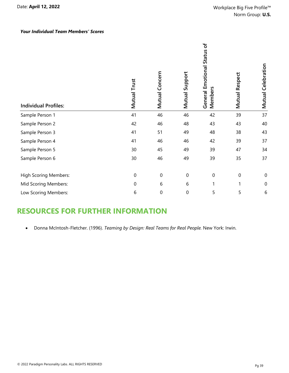#### *Your Individual Team Members' Scores*

| <b>Individual Profiles:</b>  | Mutual Trust   | Mutual Concern   | Mutual Support   | General Emotional Status of<br>Members | Mutual Respect   | Mutual Celebration |
|------------------------------|----------------|------------------|------------------|----------------------------------------|------------------|--------------------|
| Sample Person 1              | 41             | 46               | 46               | 42                                     | 39               | 37                 |
| Sample Person 2              | 42             | 46               | 48               | 43                                     | 43               | 40                 |
| Sample Person 3              | 41             | 51               | 49               | 48                                     | 38               | 43                 |
| Sample Person 4              | 41             | 46               | 46               | 42                                     | 39               | 37                 |
| Sample Person 5              | 30             | 45               | 49               | 39                                     | 47               | 34                 |
| Sample Person 6              | 30             | 46               | 49               | 39                                     | 35               | 37                 |
| <b>High Scoring Members:</b> | $\mathbf 0$    | $\mathbf 0$      | $\boldsymbol{0}$ | $\boldsymbol{0}$                       | $\boldsymbol{0}$ | $\mathbf 0$        |
| Mid Scoring Members:         | $\overline{0}$ | 6                | 6                | 1                                      | 1                | $\boldsymbol{0}$   |
| Low Scoring Members:         | 6              | $\boldsymbol{0}$ | $\boldsymbol{0}$ | 5                                      | 5                | 6                  |

## **RESOURCES FOR FURTHER INFORMATION**

· Donna McIntosh-Fletcher. (1996). *Teaming by Design: Real Teams for Real People.* New York: Irwin.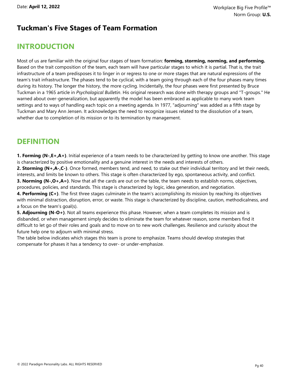#### **Tuckman's Five Stages of Team Formation**

## **INTRODUCTION**

Most of us are familiar with the original four stages of team formation: **forming, storming, norming, and performing.** Based on the trait composition of the team, each team will have particular stages to which it is partial. That is, the trait infrastructure of a team predisposes it to linger in or regress to one or more stages that are natural expressions of the team's trait infrastructure. The phases tend to be cyclical, with a team going through each of the four phases many times during its history. The longer the history, the more cycling. Incidentally, the four phases were first presented by Bruce Tuckman in a 1965 article in *Psychological Bulletin*. His original research was done with therapy groups and "T-groups." He warned about over-generalization, but apparently the model has been embraced as applicable to many work team settings and to ways of handling each topic on a meeting agenda. In 1977, "adjourning" was added as a fifth stage by Tuckman and Mary Ann Jensen. It acknowledges the need to recognize issues related to the dissolution of a team, whether due to completion of its mission or to its termination by management.

## **DEFINITION**

**1. Forming (N-,E+,A+)**. Initial experience of a team needs to be characterized by getting to know one another. This stage is characterized by positive emotionality and a genuine interest in the needs and interests of others.

**2. Storming (N+,A-,C-)**. Once formed, members tend, and need, to stake out their individual territory and let their needs, interests, and limits be known to others. This stage is often characterized by ego, spontaneous activity, and conflict.

**3. Norming (N-,O+,A=)**. Now that all the cards are out on the table, the team needs to establish norms, objectives, procedures, policies, and standards. This stage is characterized by logic, idea generation, and negotiation.

**4. Performing (C+)**. The first three stages culminate in the team's accomplishing its mission by reaching its objectives with minimal distraction, disruption, error, or waste. This stage is characterized by discipline, caution, methodicalness, and a focus on the team's goal(s).

**5. Adjourning (N-O+)**. Not all teams experience this phase. However, when a team completes its mission and is disbanded, or when management simply decides to eliminate the team for whatever reason, some members find it difficult to let go of their roles and goals and to move on to new work challenges. Resilience and curisoity about the future help one to adjourn with minimal stress.

The table below indicates which stages this team is prone to emphasize. Teams should develop strategies that compensate for phases it has a tendency to over- or under-emphasize.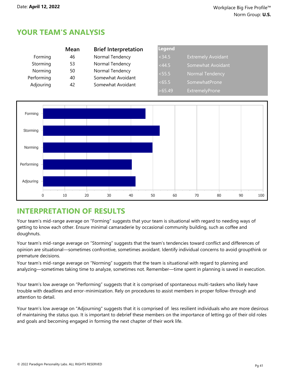|            | Mean | <b>Brief Interpretation</b> | Legend |                           |
|------------|------|-----------------------------|--------|---------------------------|
| Forming    | 46   | Normal Tendency             | < 34.5 | <b>Extremely Avoidant</b> |
| Storming   | 53   | Normal Tendency             | <44.5  | Somewhat Avoidant         |
| Norming    | 50   | Normal Tendency             | < 55.5 | Normal Tendency           |
| Performing | 40   | Somewhat Avoidant           |        |                           |
| Adjouring  | 42   | Somewhat Avoidant           | <65.5  | SomewhatProne             |
|            |      |                             | >65.49 | ExtremelyProne            |



## **INTERPRETATION OF RESULTS**

Your team's mid-range average on "Forming" suggests that your team is situational with regard to needing ways of getting to know each other. Ensure minimal camaraderie by occasional community building, such as coffee and doughnuts.

Your team's mid-range average on "Storming" suggests that the team's tendencies toward conflict and differences of opinion are situational—sometimes confrontive, sometimes avoidant. Identify individual concerns to avoid groupthink or premature decisions.

Your team's mid-range average on "Norming" suggests that the team is situational with regard to planning and analyzing—sometimes taking time to analyze, sometimes not. Remember—time spent in planning is saved in execution.

Your team's low average on "Performing" suggests that it is comprised of spontaneous multi-taskers who likely have trouble with deadlines and error-minimization. Rely on procedures to assist members in proper follow-through and attention to detail.

Your team's low average on "Adjourning" suggests that it is comprised of less resilient individuals who are more desirous of maintaining the status quo. It is important to debrief these members on the importance of letting go of their old roles and goals and becoming engaged in forming the next chapter of their work life.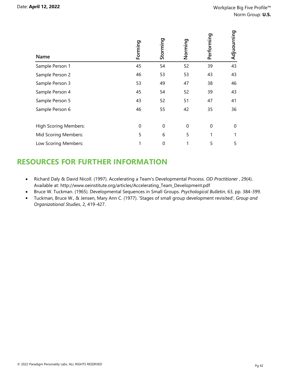| Name                         | Forming  | Storming       | Norming     | Performing | Adjuourning |
|------------------------------|----------|----------------|-------------|------------|-------------|
| Sample Person 1              | 45       | 54             | 52          | 39         | 43          |
| Sample Person 2              | 46       | 53             | 53          | 43         | 43          |
| Sample Person 3              | 53       | 49             | 47          | 38         | 46          |
| Sample Person 4              | 45       | 54             | 52          | 39         | 43          |
| Sample Person 5              | 43       | 52             | 51          | 47         | 41          |
| Sample Person 6              | 46       | 55             | 42          | 35         | 36          |
| <b>High Scoring Members:</b> | $\Omega$ | $\overline{0}$ | $\mathbf 0$ | $\Omega$   | 0           |
| Mid Scoring Members:         | 5        | 6              | 5           | 1          | 1           |
| Low Scoring Members:         |          | 0              | 1           | 5          | 5           |

## **RESOURCES FOR FURTHER INFORMATION**

- · Richard Daly & David Nicoll. (1997). Accelerating a Team's Developmental Process. *OD Practitioner* , 29(4). Available at: http://www.oeinstitute.org/articles/Accelerating\_Team\_Development.pdf
- · Bruce W. Tuckman. (1965). Developmental Sequences in Small Groups. *Psychological Bulletin*, 63, pp. 384-399.
- · Tuckman, Bruce W., & Jensen, Mary Ann C. (1977). 'Stages of small group development revisited', *Group and Organizational Studies*, 2, 419-427.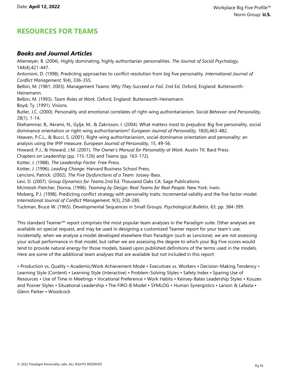#### **RESOURCES FOR TEAMS**

#### *Books and Journal Articles*

Altemeyer, B. (2004). Highly dominating, highly authoritarian personalities. *The Journal of Social Psychology,* 144(4),421-447. Antonioni, D. (1998). Predicting approaches to conflict resolution from big five personality. *International Journal of Conflict Management,* 9(4), 336-355. Belbin, M. (1981; 2003). Management Teams: *Why They Succeed or Fail.* 2nd Ed. Oxford, England: Butterworth-Heinemann. Belbin, M. (1993). *Team Roles at Work.* Oxford, England: Butterworth-Heinemann. Boyd, Ty. (1991). Visions. Butler, J.C. (2000). Personality and emotional correlates of right-wing authoritarianism. *Social Behavior and Personality,* 28(1), 1-14. Ekehammar, B., Akrami, N., Gylje, M., & Zakrisson, I. (2004). What matters most to prejudice: Big five personality, social dominance orientation or right-wing authoritarianism? *European Journal of Personality,* 18(6),463-482. Heaven, P.C.L., & Bucci, S. (2001). Right-wing authoritarianism, social dominance orientation and personality: an analysis using the IPIP measure. *European Journal of Personality,* 15, 49-56. Howard, P.J., & Howard, J.M. (2001). *The Owner's Manual for Personality at Work.* Austin TX: Bard Press. Chapters on Leadership (pp. 115-126) and Teams (pp. 163-172). Kotter, J. (1988). *The Leadership Factor.* Free Press. Kotter, J. (1996). *Leading Change.* Harvard Business School Press. Lencioni, Patrick. (2002). *The Five Dysfunctions of a Team.* Jossey-Bass. Levi, D. (2007). *Group Dynamics for Teams.*2nd Ed. Thousand Oaks CA: Sage Publications. McIntosh-Fletcher, Donna. (1996). *Teaming by Design: Real Teams for Real People.* New York: Irwin. Moberg, P.J. (1998). Predicting conflict strategy with personality traits: Incremental validity and the five factor model. *International Journal of Conflict Management.* 9(3), 258-285. Tuckman, Bruce W. (1965). Developmental Sequences in Small Groups. *Psychological Bulletin,* 63, pp. 384-399.

This standard Teamer™ report comprises the most popular team analyses in the Paradigm suite. Other analyses are available on special request, and may be used in designing a customized Teamer report for your team's use. Incidentally, when we analyze a model developed elsewhere than Paradigm (such as Lencione), we are *not* assessing your actual performance in that model, but rather we are assessing the degree to which your Big Five scores would tend to provide natural energy for those models, based upon published definitions of the terms used in the models. Here are some of the additional team analyses that are available but not included in this report:

• Production vs. Quality • Academic/Work Achievement Mode • Executives vs. Workers • Decision-Making Tendency • Learning Style (Content) • Learning Style (Interactive) • Problem-Solving Styles • Safety Index • Sparing Use of Resources • Use of Time in Meetings • Vocational Preference • Work Habits • Keirsey-Bates Leadership Styles • Kouzes and Posner Styles • Situational Leadership • The FIRO-B Model • SYMLOG • Human Synergistics • Larson & Lafasta • Glenn Parker • Woodcock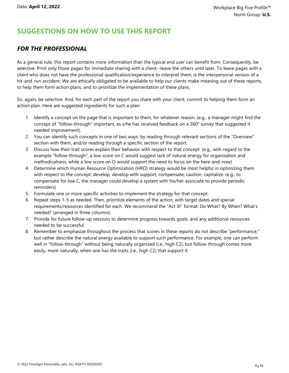## **SUGGESTIONS ON HOW TO USE THIS REPORT**

#### *FOR THE PROFESSIONAL*

As a general rule, this report contains more information than the typical end user can benefit from. Consequently, be selective. Print only those pages for immediate sharing with a client--leave the others until later. To leave pages with a client who does not have the professional qualification/experience to interpret them, is the interpersonal version of a hit-and-run accident. We are ethically obligated to be available to help our clients make meaning out of these reports, to help them form action plans, and to prioritize the implementation of these plans.

So, again, be selective. And, for each part of the report you share with your client, commit to helping them form an action plan. Here are suggested ingredients for such a plan:

- 1. Identify a concept on the page that is important to them, for whatever reason. (e.g., a manager might find the concept of "follow-through" important, as s/he has received feedback on a 360° survey that suggested it needed improvement).
- 2. You can identify such concepts in one of two ways: by reading through relevant sections of the "Overview" section with them, and/or reading through a specific section of the report.
- 3. Discuss how their trait scores explain their behavior with respect to that concept. (e.g., with regard to the example "follow-through", a low score on C would suggest lack of natural energy for organization and methodicalness, while a low score on O would support the need to focus on the here-and-now)
- 4. Determine which Human Resource Optimization (HRO) strategy would be most helpful in optimizing them with respect to the concept: develop, develop with support, compensate, caution, capitalize. (e.g., to compensate for low C, the manager could develop a system with his/her associate to provide periodic reminders)
- 5. Formulate one or more specific activities to implement the strategy for that concept.
- 6. Repeat steps 1-5 as needed. Then, prioritize elements of the action, with target dates and special requirements/resources identified for each. We recommend the "Act III" format: Do What? By When? What's needed? (arranged in three columns)
- 7. Provide for future follow-up sessions to determine progress towards goals, and any additional resources needed to be successful.
- 8. Remember to emphasize throughout the process that scores in these reports do not describe "performance," but rather describe the natural energy available to support such performance. For example, one can perform well in "follow-through" without being naturally organized (i.e., high C2), but follow-through comes more easily, more naturally, when one has the traits (i.e., high C2) that support it.